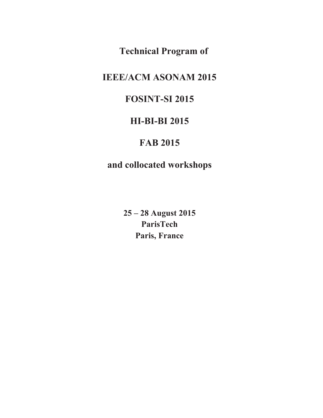**Technical Program of** 

# **IEEE/ACM ASONAM 2015**

# **FOSINT-SI 2015**

# **HI-BI-BI 2015**

# **FAB 2015**

# and collocated workshops

 $25 - 28$  August 2015 **ParisTech** Paris, France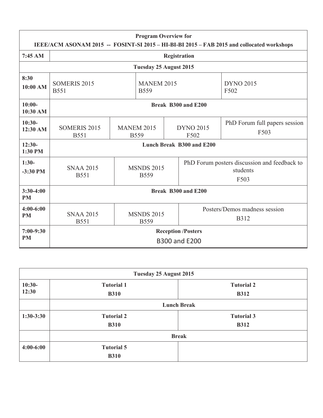|                          |                                    | <b>Program Overview for</b>      |  |                           | IEEE/ACM ASONAM 2015 -- FOSINT-SI 2015 - HI-BI-BI 2015 - FAB 2015 and collocated workshops |
|--------------------------|------------------------------------|----------------------------------|--|---------------------------|--------------------------------------------------------------------------------------------|
| 7:45 AM                  |                                    |                                  |  | Registration              |                                                                                            |
|                          |                                    | Tuesday 25 August 2015           |  |                           |                                                                                            |
| 8:30<br>$10:00$ AM       | <b>SOMERIS 2015</b><br><b>B551</b> | <b>MANEM 2015</b><br><b>B559</b> |  |                           | <b>DYNO 2015</b><br>F502                                                                   |
| $10:00-$<br>10:30 AM     |                                    |                                  |  | Break B300 and E200       |                                                                                            |
| $10:30-$<br>12:30 AM     | SOMERIS 2015<br><b>B551</b>        | <b>MANEM 2015</b><br><b>B559</b> |  | <b>DYNO 2015</b><br>F502  | PhD Forum full papers session<br>F503                                                      |
| $12:30-$<br>1:30 PM      |                                    |                                  |  | Lunch Break B300 and E200 |                                                                                            |
| $1:30-$<br>$-3:30$ PM    | <b>SNAA 2015</b><br><b>B551</b>    | <b>MSNDS 2015</b><br><b>B559</b> |  |                           | PhD Forum posters discussion and feedback to<br>students<br>F503                           |
| $3:30-4:00$<br><b>PM</b> |                                    |                                  |  | Break B300 and E200       |                                                                                            |
| $4:00-6:00$<br><b>PM</b> | <b>SNAA 2015</b><br><b>B551</b>    | <b>MSNDS 2015</b><br><b>B559</b> |  |                           | Posters/Demos madness session<br><b>B312</b>                                               |
| $7:00-9:30$<br><b>PM</b> | <b>Reception /Posters</b>          |                                  |  |                           |                                                                                            |
|                          |                                    |                                  |  | <b>B300 and E200</b>      |                                                                                            |

|                   | Tuesday 25 August 2015           |                                  |
|-------------------|----------------------------------|----------------------------------|
| $10:30-$<br>12:30 | <b>Tutorial 1</b><br><b>B310</b> | <b>Tutorial 2</b><br><b>B312</b> |
|                   |                                  | <b>Lunch Break</b>               |
| $1:30-3:30$       | <b>Tutorial 3</b><br><b>B310</b> | <b>Tutorial 3</b><br><b>B312</b> |
|                   |                                  | <b>Break</b>                     |
| $4:00-6:00$       | <b>Tutorial 5</b><br><b>B310</b> |                                  |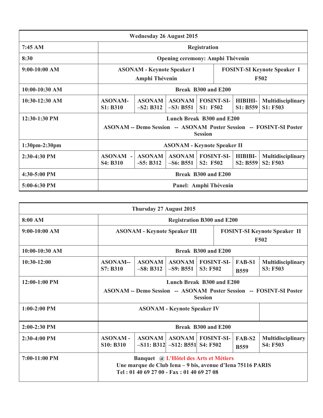|                   |                                            |                                                     | <b>Wednesday 26 August 2015</b> |                                             |                                                     |                                                                            |
|-------------------|--------------------------------------------|-----------------------------------------------------|---------------------------------|---------------------------------------------|-----------------------------------------------------|----------------------------------------------------------------------------|
| $7:45 \text{ AM}$ |                                            |                                                     |                                 | <b>Registration</b>                         |                                                     |                                                                            |
| 8:30              |                                            |                                                     |                                 | Opening ceremony: Amphi Thévenin            |                                                     |                                                                            |
| $9:00-10:00$ AM   |                                            | <b>ASONAM - Keynote Speaker I</b><br>Amphi Thévenin |                                 |                                             |                                                     | <b>FOSINT-SI Keynote Speaker I</b><br><b>F502</b>                          |
| $10:00-10:30$ AM  |                                            |                                                     |                                 | Break B300 and E200                         |                                                     |                                                                            |
| $10:30-12:30$ AM  | <b>ASONAM-</b><br><b>S1: B310</b>          | <b>ASONAM</b><br>$-S2: B312$                        | <b>ASONAM</b><br>$-S3: B551$    | <b>FOSINT-SI-</b><br><b>S1: F502</b>        | <b>HIBIHI-</b><br>S1: B559                          | <b>Multidisciplinary</b><br><b>S1: F503</b>                                |
| 12:30-1:30 PM     |                                            |                                                     |                                 | Lunch Break B300 and E200<br><b>Session</b> |                                                     | <b>ASONAM -- Demo Session -- ASONAM Poster Session -- FOSINT-SI Poster</b> |
| $1:30pm-2:30pm$   |                                            |                                                     |                                 | <b>ASONAM - Keynote Speaker II</b>          |                                                     |                                                                            |
| 2:30-4:30 PM      | <b>ASONAM</b><br>$\sim$<br><b>S4: B310</b> | <b>ASONAM</b><br>$-S5: B312$                        | <b>ASONAM</b><br>$-S6: B551$    | <b>FOSINT-SI-</b><br><b>S2: F502</b>        | <b>HIBIBI-</b><br>S <sub>2</sub> : B <sub>559</sub> | <b>Multidisciplinary</b><br><b>S2: F503</b>                                |
| 4:30-5:00 PM      |                                            |                                                     |                                 | Break B300 and E200                         |                                                     |                                                                            |
| $5:00-6:30$ PM    |                                            |                                                     |                                 | Panel: Amphi Thévenin                       |                                                     |                                                                            |

|                  |                                                                                                                                     | Thursday 27 August 2015                                                            |                                    |                                      |                                                            |                                                                            |
|------------------|-------------------------------------------------------------------------------------------------------------------------------------|------------------------------------------------------------------------------------|------------------------------------|--------------------------------------|------------------------------------------------------------|----------------------------------------------------------------------------|
| 8:00 AM          |                                                                                                                                     |                                                                                    | <b>Registration B300 and E200</b>  |                                      |                                                            |                                                                            |
| $9:00-10:00$ AM  |                                                                                                                                     | <b>ASONAM - Keynote Speaker III</b>                                                |                                    |                                      |                                                            | <b>FOSINT-SI Keynote Speaker II</b><br><b>F502</b>                         |
| $10:00-10:30$ AM |                                                                                                                                     |                                                                                    |                                    | Break B300 and E200                  |                                                            |                                                                            |
| $10:30-12:00$    | <b>ASONAM</b><br><b>ASONAM--</b><br><b>ASONAM</b><br><b>FOSINT-SI-</b><br>$-S9: B551$<br><b>S7: B310</b><br>$-S8: B312$<br>S3: F502 |                                                                                    | FAB-S1<br><b>B559</b>              | <b>Multidisciplinary</b><br>S3: F503 |                                                            |                                                                            |
| $12:00-1:00$ PM  |                                                                                                                                     |                                                                                    | Lunch Break B300 and E200          | <b>Session</b>                       |                                                            | <b>ASONAM -- Demo Session -- ASONAM Poster Session -- FOSINT-SI Poster</b> |
| $1:00-2:00$ PM   |                                                                                                                                     |                                                                                    | <b>ASONAM - Keynote Speaker IV</b> |                                      |                                                            |                                                                            |
| $2:00-2:30$ PM   |                                                                                                                                     | Break B300 and E200                                                                |                                    |                                      |                                                            |                                                                            |
| $2:30-4:00$ PM   | <b>ASONAM-</b><br><b>S10: B310</b>                                                                                                  | <b>ASONAM</b><br>$-S11: B312$                                                      | <b>ASONAM</b><br>$-S12: B551$      | <b>FOSINT-SI-</b><br><b>S4: F502</b> | FAB-S2<br><b>B559</b>                                      | <b>Multidisciplinary</b><br><b>S4: F503</b>                                |
| $7:00-11:00$ PM  |                                                                                                                                     | Banquet @ L'Hôtel des Arts et Métiers<br>Tel: 01 40 69 27 00 - Fax: 01 40 69 27 08 |                                    |                                      | Une marque de Club Iena – 9 bis, avenue d'Iena 75116 PARIS |                                                                            |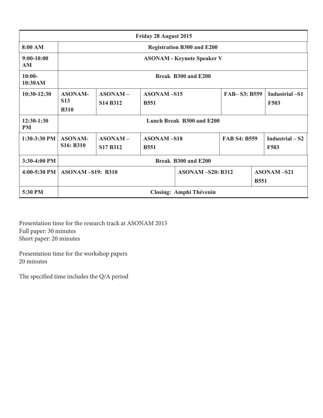|                           |                                             |                        | Friday 28 August 2015            |                                   |                     |             |                                  |
|---------------------------|---------------------------------------------|------------------------|----------------------------------|-----------------------------------|---------------------|-------------|----------------------------------|
| 8:00 AM                   |                                             |                        |                                  | <b>Registration B300 and E200</b> |                     |             |                                  |
| $9:00-10:00$<br>AM        |                                             |                        |                                  | <b>ASONAM - Keynote Speaker V</b> |                     |             |                                  |
| $10:00-$<br>10:30AM       |                                             |                        |                                  | Break B300 and E200               |                     |             |                                  |
| $10:30-12:30$             | <b>ASONAM-</b><br><b>S13</b><br><b>B310</b> | $ASONAM -$<br>S14 B312 | <b>ASONAM-S15</b><br><b>B551</b> |                                   | FAB-S3: B559        |             | Industrial -S1<br><b>F503</b>    |
| $12:30-1:30$<br><b>PM</b> |                                             |                        |                                  | Lunch Break B300 and E200         |                     |             |                                  |
| $1:30-3:30$ PM            | <b>ASONAM-</b><br>S16: B310                 | $ASONAM -$<br>S17 B312 | <b>ASONAM-S18</b><br><b>B551</b> |                                   | <b>FAB S4: B559</b> |             | Industrial $- S2$<br><b>F503</b> |
| 3:30-4:00 PM              |                                             |                        |                                  | Break B300 and E200               |                     |             |                                  |
| 4:00-5:30 PM              | $ASONAM -S19: B310$                         |                        |                                  | <b>ASONAM-S20: B312</b>           |                     | <b>B551</b> | <b>ASONAM-S21</b>                |
| 5:30 PM                   |                                             |                        |                                  | Closing: Amphi Thévenin           |                     |             |                                  |

Presentation time for the research track at ASONAM 2015 Full paper: 30 minutes Short paper: 20 minutes

Presentation time for the workshop papers 20 minutes

The specified time includes the Q/A period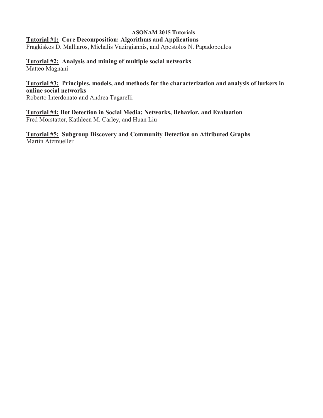## **ASONAM 2015 Tutorials**

# **Tutorial #1: Core Decomposition: Algorithms and Applications**

Fragkiskos D. Malliaros, Michalis Vazirgiannis, and Apostolos N. Papadopoulos

# Tutorial #2: Analysis and mining of multiple social networks Matteo Magnani

# Tutorial #3: Principles, models, and methods for the characterization and analysis of lurkers in online social networks

Roberto Interdonato and Andrea Tagarelli

**Tutorial #4: Bot Detection in Social Media: Networks, Behavior, and Evaluation** Fred Morstatter, Kathleen M. Carley, and Huan Liu

# Tutorial #5: Subgroup Discovery and Community Detection on Attributed Graphs Martin Atzmueller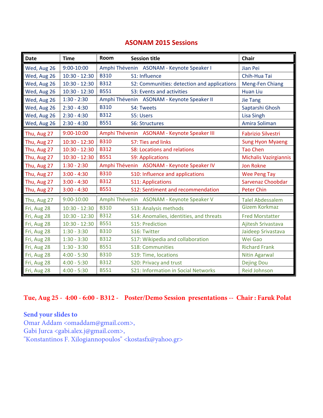# **ASONAM 2015 Sessions**

| <b>Date</b>  | <b>Time</b>                   | Room        | <b>Session title</b>                        | Chair                        |
|--------------|-------------------------------|-------------|---------------------------------------------|------------------------------|
| Wed, Aug 26  | 9:00-10:00                    |             | Amphi Thévenin ASONAM - Keynote Speaker I   | Jian Pei                     |
| Wed, Aug 26  | $10:30 - 12:30$               | <b>B310</b> | S1: Influence                               | Chih-Hua Tai                 |
| Wed, Aug 26  | $10:30 - 12:30$               | <b>B312</b> | S2: Communities: detection and applications | Meng-Fen Chiang              |
| Wed, Aug 26  | $10:30 - 12:30$               | <b>B551</b> | S3: Events and activities                   | <b>Huan Liu</b>              |
| Wed, Aug 26  | $1:30 - 2:30$                 |             | Amphi Thévenin ASONAM - Keynote Speaker II  | Jie Tang                     |
| Wed, Aug 26  | $2:30 - 4:30$                 | <b>B310</b> | S4: Tweets                                  | Saptarshi Ghosh              |
| Wed, Aug 26  | $2:30 - 4:30$                 | <b>B312</b> | S5: Users                                   | <b>Lisa Singh</b>            |
| Wed, Aug 26  | $2:30 - 4:30$                 | <b>B551</b> | S6: Structures                              | Amira Soliman                |
| Thu, Aug 27  | $9:00 - 10:00$                |             | Amphi Thévenin ASONAM - Keynote Speaker III | <b>Fabrizio Silvestri</b>    |
| Thu, Augo    | $10$ 30-12:                   | <b>B310</b> | S7: Ties and links                          | <b>Sung Hyon Myaeng</b>      |
| Thu, Aug 27  | 10 30-12 00                   | <b>B312</b> | S8: Locations and relations                 | <b>Tao Chen</b>              |
| Thu, Aug 27  | 10 30-12 00                   | <b>B551</b> | <b>S9: Applications</b>                     | <b>Michalis Vazirgiannis</b> |
| Thu, Aug 27  | $1:\mathbf{i} - 2:\mathbf{j}$ |             | Amphi Thévenin ASONAM - Keynote Speaker IV  | <b>Jon Rokne</b>             |
| Thu, Aug 27î | $:0 - 4:0$                    | <b>B310</b> | S10: Influence and applications             | <b>Wee Peng Tay</b>          |
| $u$ ug $27$  | $230 - 400$                   | <b>B312</b> | <b>S11: Applications</b>                    | Sarvenaz Choobdar            |
| Thu, Aug 27  | $2:30 - 4:00$                 | <b>B551</b> | S12: Sentiment and recommendation           | Peter Chin                   |
| Thu, Aug 27  | $9:00 - 10:00$                |             | Amphi Thévenin ASONAM - Keynote Speaker V   | <b>Talel Abdessalem</b>      |
| Fri, Aug 28  | $10:30 - 12:30$               | <b>B310</b> | S13: Analysis methods                       | Gizem Korkmaz                |
| Fri, Aug 28  | $10:30 - 12:30$               | <b>B312</b> | S14: Anomalies, identities, and threats     | <b>Fred Morstatter</b>       |
| Fri, Aug 28  | $10:30 - 12:30$               | <b>B551</b> | S15: Prediction                             | Jaideep Srivastava           |
| Fri, Aug 28  | $1:30 - 3:30$                 | <b>B310</b> | S16: Twitter                                | Ajitesh Srivastava           |
| Fri, Aug 28  | $1:30 - 3:30$                 | <b>B312</b> | S17: Wikipedia and collaboration            | Wei Gao                      |
| Fri, Aug 28  | $1:30 - 3:30$                 | <b>B551</b> | <b>S18: Communities</b>                     | <b>Richard Frank</b>         |
| Fri, Aug 28  | $4:00 - 5:30$                 | <b>B310</b> | S19: Time, locations                        | <b>Nitin Agarwal</b>         |
| Fri, Aug 28  | $4:00 - 5:30$                 | <b>B312</b> | S20: Privacy and trust                      | <b>Dejing Dou</b>            |
| Fri, Aug 28  | $4:00 - 5:30$                 | <b>B551</b> | S21: Information in Social Networks         | <b>Reid Johnson</b>          |

**Tue, Aug 25 - 4:00 - 6:00 - B312 - Poster/Demo Session presentations -- Chair : Faruk Polat**

**Send your slides to**  Omar Addam <omaddam@gmail.com>, Gabi Jurca <gabi.alex.j@gmail.com>, "Konstantinos F. Xilogiannopoulos" <kostasfx@yahoo.gr>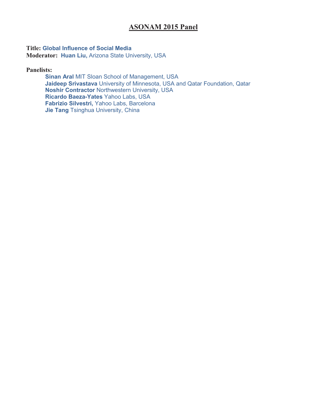# **ASONAM 2015 Panel**

**Title: Global Influence of Social Media Moderator: Huan Liu, Arizona State University, USA** 

Panelists:

**Sinan Aral** MIT Sloan School of Management, USA **Jaideep Srivastava** University of Minnesota, USA and Qatar Foundation, Qatar **Noshir Contractor** Northwestern University, USA **Ricardo Baeza-Yates** Yahoo Labs, USA **Fabrizio Silvestri,** Yahoo Labs, Barcelona **Jie Tang Tsinghua University, China**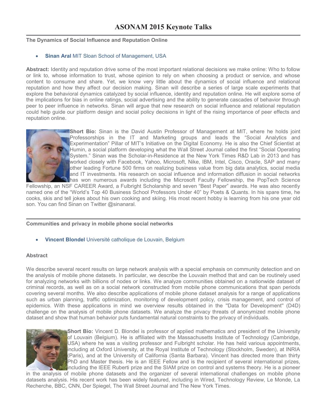## **The Dynamics of Social Influence and Reputation Online**

## **Sinan Aral MIT Sloan School of Management, USA**

**Abstract:** Identity and reputation drive some of the most important relational decisions we make online: Who to follow or link to, whose information to trust, whose opinion to rely on when choosing a product or service, and whose content to consume and share. Yet, we know very little about the dynamics of social influence and relational reputation and how they affect our decision making. Sinan will describe a series of large scale experiments that explore the behavioral dynamics catalyzed by social influence, identity and reputation online. He will explore some of the implications for bias in online ratings, social advertising and the ability to generate cascades of behavior through peer to peer influence in networks. Sinan will argue that new research on social influence and relational reputation could help guide our platform design and social policy decisions in light of the rising importance of peer effects and reputation online.



**Short Bio:** Sinan is the David Austin Professor of Management at MIT, where he holds joint Professorships in the IT and Marketing groups and leads the "Social Analytics and Experimentation" Pillar of MIT's Initiative on the Digital Economy. He is also the Chief Scientist at Humin, a social platform developing what the Wall Street Journal called the first "Social Operating System." Sinan was the Scholar-in-Residence at the New York Times R&D Lab in 2013 and has worked closely with Facebook, Yahoo, Microsoft, Nike, IBM, Intel, Cisco, Oracle, SAP and many other leading Fortune 500 firms on realizing business value from big data analytics, social media and IT investments. His research on social influence and information diffusion in social networks has won numerous awards including the Microsoft Faculty Fellowship, the PopTech Science

Fellowship, an NSF CAREER Award, a Fulbright Scholarship and seven "Best Paper" awards. He was also recently named one of the "World's Top 40 Business School Professors Under 40" by Poets & Quants. In his spare time, he cooks, skis and tell jokes about his own cooking and skiing. His most recent hobby is learning from his one year old son. You can find Sinan on Twitter @sinanaral.

**Communities and privacy in mobile phone social networks** 

**Vincent Blondel** Université catholique de Louvain, Belgium

#### **Abstract**

We describe several recent results on large network analysis with a special emphasis on community detection and on the analysis of mobile phone datasets. In particular, we describe the Louvain method that and can be routinely used for analyzing networks with billions of nodes or links. We analyze communities obtained on a nationwide dataset of criminal records, as well as on a social network constructed from mobile phone communications that span periods covering several months. We also describe applications of mobile phone dataset analysis for a range of applications such as urban planning, traffic optimization, monitoring of development policy, crisis management, and control of epidemics. With these applications in mind we overview results obtained in the ''Data for Development'' (D4D) challenge on the analysis of mobile phone datasets. We analyze the privacy threats of anonymized mobile phone dataset and show that human behavior puts fundamental natural constraints to the privacy of individuals.



**Short Bio:** Vincent D. Blondel is professor of applied mathematics and president of the University of Louvain (Belgium). He is affiliated with the Massachusetts Institute of Technology (Cambridge, USA) where he was a visiting professor and Fulbright scholar. He has held various appointments, including at Oxford University, at the Royal Institute of Technology (Stockholm, Sweden), at INRIA (Paris), and at the University of California (Santa Barbara). Vincent has directed more than thirty PhD and Master thesis. He is an IEEE Fellow and is the recipient of several international prizes, including the IEEE Ruberti prize and the SIAM prize on control and systems theory. He is a pioneer

in the analysis of mobile phone datasets and the organizer of several international challenges on mobile phone datasets analysis. His recent work has been widely featured, including in Wired, Technology Review, Le Monde, La Recherche, BBC, CNN, Der Spiegel, The Wall Street Journal and The New York Times.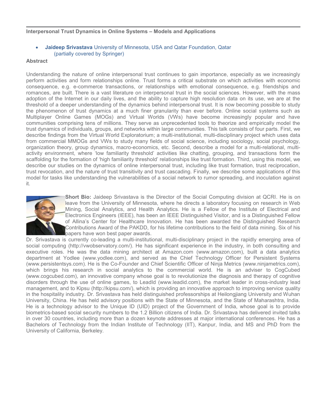## **Interpersonal Trust Dynamics in Online Systems – Models and Applications**

## x **Jaideep Srivastava** University of Minnesota, USA and Qatar Foundation, Qatar (partially covered by Springer)

## **Abstract**

Understanding the nature of online interpersonal trust continues to gain importance, especially as we increasingly perform activities and form relationships online. Trust forms a critical substrate on which activities with economic consequence, e.g. e-commerce transactions, or relationships with emotional consequence, e.g. friendships and romances, are built. There is a vast literature on interpersonal trust in the social sciences. However, with the mass adoption of the Internet in our daily lives, and the ability to capture high resolution data on its use, we are at the threshold of a deeper understanding of the dynamics behind interpersonal trust. It is now becoming possible to study the phenomenon of trust dynamics at a much finer granularity than ever before. Online social systems such as Multiplayer Online Games (MOGs) and Virtual Worlds (VWs) have become increasingly popular and have communities comprising tens of millions. They serve as unprecedented tools to theorize and empirically model the trust dynamics of individuals, groups, and networks within large communities. This talk consists of four parts. First, we describe findings from the Virtual World Exploratorium; a multi-institutional, multi-disciplinary project which uses data from commercial MMOGs and VWs to study many fields of social science, including sociology, social psychology, organization theory, group dynamics, macro-economics, etc. Second, describe a model for a multi-relational, multiactivity environment, where 'low familiarity threshold' activities like chatting, grouping, and transactions form the scaffolding for the formation of 'high familiarity threshold' relationships like trust formation. Third, using this model, we describe our studies on the dynamics of online interpersonal trust, including like trust formation, trust reciprocation, trust revocation, and the nature of trust transitivity and trust cascading. Finally, we describe some applications of this model for tasks like understanding the vulnerabilities of a social network to rumor spreading, and inoculation against it.



**Short Bio:** Jaideep Srivastava is the Director of the Social Computing division at QCRI. He is on leave from the University of Minnesota, where he directs a laboratory focusing on research in Web Mining, Social Analytics, and Health Analytics. He is a Fellow of the Institute of Electrical and Electronics Engineers (IEEE), has been an IEEE Distinguished Visitor, and is a Distinguished Fellow of Allina's Center for Healthcare Innovation. He has been awarded the Distinguished Research Contributions Award of the PAKDD, for his lifetime contributions to the field of data mining. Six of his papers have won best paper awards.

Dr. Srivastava is currently co-leading a multi-institutional, multi-disciplinary project in the rapidly emerging area of social computing (http://vwobservatory.com/). He has significant experience in the industry, in both consulting and executive roles. He was the data mining architect at Amazon.com (www.amazon.com), built a data analytics department at Yodlee (www.yodlee.com), and served as the Chief Technology Officer for Persistent Systems (www.persistentsys.com). He is the Co-Founder and Chief Scientific Officer of Ninja Metrics (www.ninjametrics.com), which brings his research in social analytics to the commercial world. He is an adviser to CogCubed (www.cogcubed.com), an innovative company whose goal is to revolutionize the diagnosis and therapy of cognitive disorders through the use of online games, to LeadId (www.leadid.com), the market leader in cross-industry lead management, and to Kipsu (http://kipsu.com/), which is providing an innovative approach to improving service quality in the hospitality industry. Dr. Srivastava has held distinguished professorships at Heilongjiang University and Wuhan University, China. He has held advisory positions with the State of Minnesota, and the State of Maharashtra, India. He is a technology advisor to the Unique ID (UID) project of the Government of India, whose goal is to provide biometrics-based social security numbers to the 1.2 Billion citizens of India. Dr. Srivastava has delivered invited talks in over 30 countries, including more than a dozen keynote addresses at major international conferences. He has a Bachelors of Technology from the Indian Institute of Technology (IIT), Kanpur, India, and MS and PhD from the University of California, Berkeley.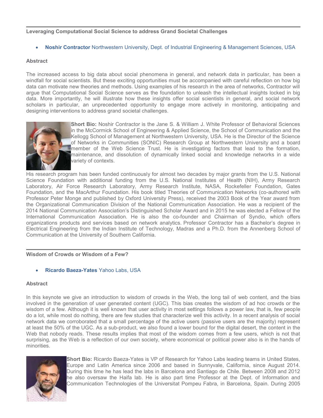## **Leveraging Computational Social Science to address Grand Societal Challenges**

## x **Noshir Contractor** Northwestern University, Dept. of Industrial Engineering & Management Sciences, USA

#### **Abstract**

The increased access to big data about social phenomena in general, and network data in particular, has been a windfall for social scientists. But these exciting opportunities must be accompanied with careful reflection on how big data can motivate new theories and methods. Using examples of his research in the area of networks, Contractor will argue that Computational Social Science serves as the foundation to unleash the intellectual insights locked in big data. More importantly, he will illustrate how these insights offer social scientists in general, and social network scholars in particular, an unprecedented opportunity to engage more actively in monitoring, anticipating and designing interventions to address grand societal challenges.



**Short Bio:** Noshir Contractor is the Jane S. & William J. White Professor of Behavioral Sciences in the McCormick School of Engineering & Applied Science, the School of Communication and the Kellogg School of Management at Northwestern University, USA. He is the Director of the Science of Networks in Communities (SONIC) Research Group at Northwestern University and a board member of the Web Science Trust. He is investigating factors that lead to the formation, maintenance, and dissolution of dynamically linked social and knowledge networks in a wide variety of contexts.

His research program has been funded continuously for almost two decades by major grants from the U.S. National Science Foundation with additional funding from the U.S. National Institutes of Health (NIH), Army Research Laboratory, Air Force Research Laboratory, Army Research Institute, NASA, Rockefeller Foundation, Gates Foundation, and the MacArthur Foundation. His book titled Theories of Communication Networks (co-authored with Professor Peter Monge and published by Oxford University Press), received the 2003 Book of the Year award from the Organizational Communication Division of the National Communication Association. He was a recipient of the 2014 National Communication Association's Distinguished Scholar Award and in 2015 he was elected a Fellow of the International Communication Association. He is also the co-founder and Chairman of Syndio, which offers organizations products and services based on network analytics. Professor Contractor has a Bachelor's degree in Electrical Engineering from the Indian Institute of Technology, Madras and a Ph.D. from the Annenberg School of Communication at the University of Southern California.

#### **Wisdom of Crowds or Wisdom of a Few?**

x **Ricardo Baeza-Yates** Yahoo Labs, USA

#### **Abstract**

In this keynote we give an introduction to wisdom of crowds in the Web, the long tail of web content, and the bias involved in the generation of user generated content (UGC). This bias creates the wisdom of ad hoc crowds or the wisdom of a few. Although it is well known that user activity in most settings follows a power law, that is, few people do a lot, while most do nothing, there are few studies that characterize well this activity. In a recent analysis of social network data we corroborated that a small percentage of the active users (passive users are the majority) represent at least the 50% of the UGC. As a sub-product, we also found a lower bound for the digital desert, the content in the Web that nobody reads. These results implies that most of the wisdom comes from a few users, which is not that surprising, as the Web is a reflection of our own society, where economical or political power also is in the hands of minorities.



**Short Bio:** Ricardo Baeza-Yates is VP of Research for Yahoo Labs leading teams in United States, Europe and Latin America since 2006 and based in Sunnyvale, California, since August 2014. During this time he has lead the labs in Barcelona and Santiago de Chile. Between 2008 and 2012 he also oversaw the Haifa lab. He is also part time Professor at the Dept. of Information and Communication Technologies of the Universitat Pompeu Fabra, in Barcelona, Spain. During 2005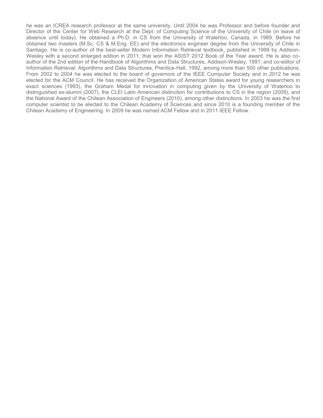he was an ICREA research professor at the same university. Until 2004 he was Professor and before founder and Director of the Center for Web Research at the Dept. of Computing Science of the University of Chile (in leave of absence until today). He obtained a Ph.D. in CS from the University of Waterloo, Canada, in 1989. Before he obtained two masters (M.Sc. CS & M.Eng. EE) and the electronics engineer degree from the University of Chile in Santiago. He is co-author of the best-seller Modern Information Retrieval textbook, published in 1999 by Addison-Wesley with a second enlarged edition in 2011, that won the ASIST 2012 Book of the Year award. He is also coauthor of the 2nd edition of the Handbook of Algorithms and Data Structures, Addison-Wesley, 1991; and co-editor of Information Retrieval: Algorithms and Data Structures, Prentice-Hall, 1992, among more than 500 other publications. From 2002 to 2004 he was elected to the board of governors of the IEEE Computer Society and in 2012 he was elected for the ACM Council. He has received the Organization of American States award for young researchers in exact sciences (1993), the Graham Medal for innovation in computing given by the University of Waterloo to distinguished ex-alumni (2007), the CLEI Latin American distinction for contributions to CS in the region (2009), and the National Award of the Chilean Association of Engineers (2010), among other distinctions. In 2003 he was the first computer scientist to be elected to the Chilean Academy of Sciences and since 2010 is a founding member of the Chilean Academy of Engineering. In 2009 he was named ACM Fellow and in 2011 IEEE Fellow.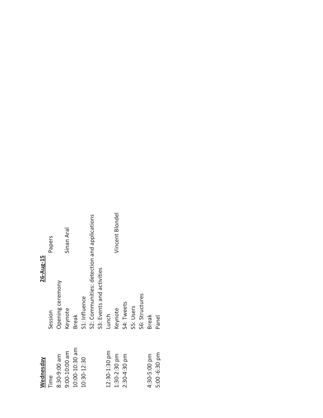| Wednesday       | 26-Aug-15                                   |                 |
|-----------------|---------------------------------------------|-----------------|
| Time            | Session                                     | Papers          |
| 8:30-9:00 am    | Opening ceremony                            |                 |
| $9:00-10:00$ am | Keynote                                     | Sinan Aral      |
| 10:00-10:30 am  | <b>Break</b>                                |                 |
| 10:30-12:30     | S1: Influence                               |                 |
|                 | S2: Communities: detection and applications |                 |
|                 | S3: Events and activities                   |                 |
| 12:30-1:30 pm   | Lunch                                       |                 |
| $1:30-2:30$ pm  | Keynote                                     | Vincent Blondel |
| $2:30-4:30$ pm  | S4: Tweets                                  |                 |
|                 | S5: Users                                   |                 |
|                 | S6: Structures                              |                 |
| 4:30-5:00 pm    | <b>Break</b>                                |                 |
| 5:00-6:30 pm    | Panel                                       |                 |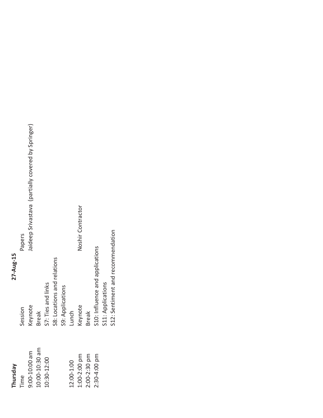|           | Papers  | Jaideep Srivastava (partially covered by Springer) |                |                    |                             |                  |                | Noshir Contractor |              |                                 |                   |                                   |  |
|-----------|---------|----------------------------------------------------|----------------|--------------------|-----------------------------|------------------|----------------|-------------------|--------------|---------------------------------|-------------------|-----------------------------------|--|
| 27-Aug-15 | Session | Keynote                                            | <b>Break</b>   | S7: Ties and links | S8: Locations and relations | S9: Applications | Lunch          | Keynote           | <b>Break</b> | S10: Influence and applications | S11: Applications | S12: Sentiment and recommendation |  |
| Thursday  | Time    | 9:00-10:00 am                                      | 10:00-10:30 am | 10:30-12:00        |                             |                  | $12:00 - 1:00$ | 1:00-2:00 pm      | 2:00-2:30 pm | 2:30-4:00 pm                    |                   |                                   |  |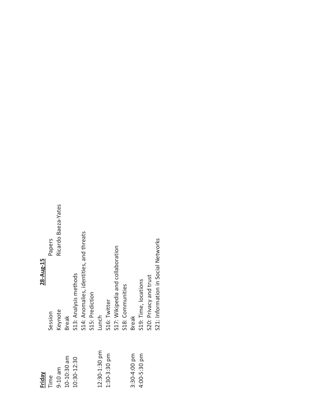| Friday        | 28-Aug-15                               |                     |
|---------------|-----------------------------------------|---------------------|
| Time          | Session                                 | Papers              |
| $9-10$ am     | Keynote                                 | Ricardo Baeza-Yates |
| 10-10:30 am   | <b>Break</b>                            |                     |
| 10:30-12:30   | S13: Analysis methods                   |                     |
|               | S14: Anomalies, identities, and threats |                     |
|               | S15: Prediction                         |                     |
| 12:30-1:30 pm | Lunch                                   |                     |
| 1:30-3:30 pm  | S16: Twitter                            |                     |
|               | S17: Wikipedia and collaboration        |                     |
|               | S18: Communities                        |                     |
| 3:30-4:00 pm  | <b>Break</b>                            |                     |
| 4:00-5:30 pm  | S19: Time, locations                    |                     |
|               | S20: Privacy and trust                  |                     |
|               | S21: Information in Social Networks     |                     |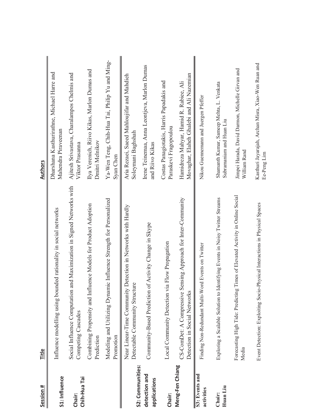| Session #                     | <b>Title</b>                                                                                     | Authors                                                                             |
|-------------------------------|--------------------------------------------------------------------------------------------------|-------------------------------------------------------------------------------------|
| S1: Influence                 | Influence modelling using bounded rationality in social networks                                 | Dharshana Kasthurirathne, Michael Harre and<br>Mahendra Piraveenan                  |
| Chih-Hua Tai<br>Chair:        | Social Influence Computation and Maximization in Signed Networks with<br>Competing Cascades      | Ajitesh Srivastava, Charalampos Chelmis and<br>Viktor Prasanna                      |
|                               | Combining Propensity and Influence Models for Product Adoption<br>Prediction                     | Ilya Verenich, Riivo Kikas, Marlon Dumas and<br>Dmitri Melnikov                     |
|                               | Modeling and Utilizing Dynamic Influence Strength for Personalized<br>Promotion                  | Ya-Wen Teng, Chih-Hua Tai, Philip Yu and Ming-<br>Syan Chen                         |
| S2: Communities:              | Near Linear-Time Community Detection in Networks with Hardly<br>Detectable Community Structure   | Aria Rezaei, Saeed Mahloujifar and Mahdieh<br>Soleymani Baghshah                    |
| detection and<br>applications | Community-Based Prediction of Activity Change in Skype                                           | Irene Teinemaa, Anna Leontjeva, Marlon Dumas<br>and Riivo Kikas                     |
| Chair:                        | via Flow Propagation<br>Local Community Detection                                                | Costas Panagiotakis, Harris Papadakis and<br>Paraskevi Fragopoulou                  |
| Meng-Fen Chiang               | Sensing Approach for Inter-Community<br>Detection in Social Networks<br>CS-ComDet: A Compressive | Movaghar, Elaheh Ghalebi and Ali Nazemian<br>Hamidreza Mahyar, Hamid R. Rabiee, Ali |
| S3: Events and<br>activities  | Finding Non-Redundant Multi-Word Events on Twitter                                               | Nikou Guennemann and Juergen Pfeffer                                                |
| Huan Liu<br>Chair:            | Exploring a Scalable Solution to Identifying Events in Noisy Twitter Streams                     | Shamanth Kumar, Sameep Mehta, L. Venkata<br>Subramaniam and Huan Liu                |
|                               | g Times of Elevated Activity in Online Social<br>Forecasting High Tide: Predictin<br>Media       | Jimpei Harada, David Darmon, Michelle Girvan and<br>William Rand                    |
|                               | Event Detection: Exploiting Socio-Physical Interactions in Physical Spaces                       | Kasthuri Jayarajah, Archan Misra, Xiao-Wen Ruan and<br>Ee-Peng Lim                  |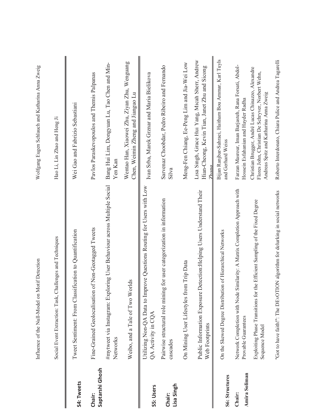|                           | Motif Detection<br>Influence of the Null-Model on                                                    | Wolfgang Eugen Schlauch and Katharina Anna Zweig                                                                                                  |
|---------------------------|------------------------------------------------------------------------------------------------------|---------------------------------------------------------------------------------------------------------------------------------------------------|
|                           | Challenges and Techniques<br>Social Event Extraction: Task,                                          | Hao Li, Lin Zhao and Heng Ji                                                                                                                      |
| S4: Tweets                | Tweet Sentiment: From Classification to Quantification                                               | Wei Gao and Fabrizio Sebastiani                                                                                                                   |
| Saptarshi Ghosh<br>Chair: | Fine-Grained Geolocalisation of Non-Geotagged Tweets                                                 | Pavlos Paraskevopoulos and Themis Palpanas                                                                                                        |
|                           | #mytweet via Instagram: Exploring User Behaviour across Multiple Social<br>Networks                  | Bang Hui Lim, Dongyuan Lu, Tao Chen and Min-<br>Yen Kan                                                                                           |
|                           | Weibo, and a Tale of Two Worlds                                                                      | Wentao Han, Xiaowei Zhu, Ziyan Zhu, Wenguang<br>Chen, Weimin Zheng and Jianguo Lu                                                                 |
| S5: Users                 | Utilizing Non-QA Data to Improve Questions Routing for Users with Low<br>QA Activity in CQA          | Ivan Srba, Marek Grznar and Maria Bielikova                                                                                                       |
| Lisa Singh<br>Chair:      | Pairwise structural role mining for user categorization in information<br>cascades                   | Sarvenaz Choobdar, Pedro Ribeiro and Fernando<br>Silva                                                                                            |
|                           | On Mining User Lifestyles from Trip Data                                                             | Meng-Fen Chiang, Ee-Peng Lim and Jia-Wei Low                                                                                                      |
|                           | Public Information Exposure Detection: Helping Users Understand Their<br>Web Footprints              | Lisa Singh, Grace Hui Yang, Micah Sherr, Andrew<br>Hian-Cheong, Kevin Tian, Janet Zhu and Sicong<br>$Z$ hano                                      |
| S6: Structures            | On the Skewed Degree Distribution of Hierarchical Networks                                           | Bijan Ranjbar-Sahraei, Haitham Bou Ammar, Karl Tuyls<br>and Gerhard Weiss                                                                         |
| Amira Soliman<br>Chair:   | Similarity: A Matrix Completion Approach with<br>Network Completion with Node<br>Provable Guarantees | Farzan Masrour, Iman Barjasteh, Rana Forsati, Abdol-<br>Hossein Esfahanian and Hayder Radha                                                       |
|                           | Exploiting Phase Transitions for the Efficient Sampling of the Fixed Degree<br>Sequence Model        | Christian Brugger, André Lucas Chinazzo, Alexandre<br>Flores John, Christian De Schryver, Norbert Wehn,<br>Andreas Spitz and Katharina Anna Zweig |
|                           | "Got to have faith!": The DEvOTION algorithm for delurking in social networks                        | Roberto Interdonato, Chiara Pulice and Andrea Tagarelli                                                                                           |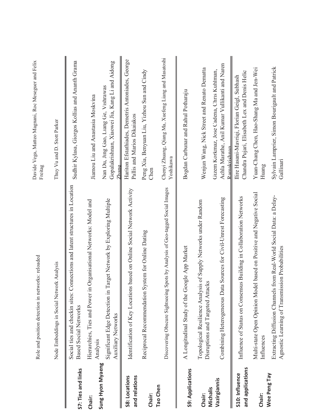|                                    | Role and position detection in networks: reloaded                                                                      | Davide Vega, Matteo Magnani, Roc Meseguer and Felix<br>Freitag                                                      |
|------------------------------------|------------------------------------------------------------------------------------------------------------------------|---------------------------------------------------------------------------------------------------------------------|
|                                    | Node Embeddings in Social Network Analysis                                                                             | Thuy Vu and D. Stott Parker                                                                                         |
| S7: Ties and links                 | Connections and latent structures in Location<br>Social ties and checkin sites:<br><b>Based Social Networks</b>        | Sudhir Kylasa, Giorgos Kollias and Ananth Grama                                                                     |
| Chair:                             | in Organisational Networks: Model and<br>Hierarchies, Ties and Power<br>Analysis                                       | Jiamou Liu and Anastasia Moskvina                                                                                   |
| Sung Hyon Myaeng                   | Significant Edge Detection in Target Network by Exploring Multiple<br>Auxiliary Networks                               | Gopalakrishnan, Xiaowei Jia, Kang Li and Aidong<br>Nan Du, Jing Gao, Liang Ge, Vishrawas<br><b>Zhano</b>            |
| and relations<br>S8: Locations     | Identification of Key Locations based on Online Social Network Activity                                                | Hariton Efstathiades, Demetris Antoniades, George<br>Pallis and Marios Dikaiakos                                    |
| Chair:                             | System for Online Dating<br>Reciprocal Recommendation                                                                  | Peng Xia, Benyuan Liu, Yizhou Sun and Cindy<br>Chen                                                                 |
| Tao Chen                           | g Spots by Analysis of Geo-tagged Social Images<br>Discovering Obscure Sightseeir                                      | Chenyi Zhuang, Qiang Ma, Xuefeng Liang and Masatoshi<br>Yoshikawa                                                   |
| <b>S9: Applications</b>            | Google App Market<br>A Longitudinal Study of the                                                                       | Bogdan Carbunar and Rahul Potharaju                                                                                 |
| Michalis<br>Chair:                 | Topological Resilience Analysis of Supply Networks under Random<br>Disruptions and Targeted Attacks                    | Wenjun Wang, Nick Street and Renato Dematta                                                                         |
| Vazirgiannis                       | Combining Heterogeneous Data Sources for Civil-Unrest Forecasting                                                      | Achla Marathe, Anil Kumar Vullikanti and Naren<br>Gizem Korkmaz, Jose Cadena, Chris Kuhlman,<br><u>Ramakrishnan</u> |
| and applications<br>S10: Influence | Influence of Status on Consensus Building in Collaboration Networks                                                    | Chandra Pujari, Elisabeth Lex and Denis Helic<br>Ilire Hasani-Mavriqi, Florian Geigl, Subhash                       |
| Chair:                             | Multi-state Open Opinion Model based on Positive and Negative Social<br>Influences                                     | Yuan-Chang Chen, Hao-Shang Ma and Jen-Wei<br>Huang                                                                  |
| Wee Peng Tay                       | Extracting Diffusion Channels from Real-World Social Data: a Delay-<br>Agnostic Learning of Transmission Probabilities | Sylvain Lamprier, Simon Bourigault and Patrick<br>Gallinari                                                         |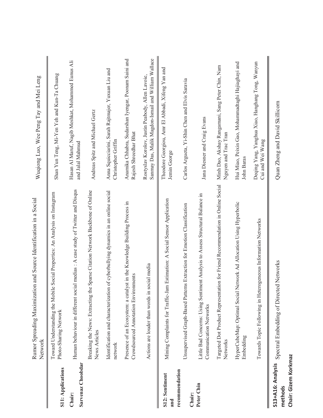|                              | Rumor Spreading Maximization and Source Identification in a Social<br>Network                                     | Wuqiong Luo, Wee Peng Tay and Mei Leng                                                                  |
|------------------------------|-------------------------------------------------------------------------------------------------------------------|---------------------------------------------------------------------------------------------------------|
| <b>S11: Applications</b>     | Toward Understanding the Mobile Social Properties: An Analysis on Instagram<br>Photo-Sharing Network              | Shan Yun Teng, Mi-Yen Yeh and Kun-Ta Chuang                                                             |
| Sarvenaz Choobdar<br>Chair:  | Human behaviour in different social medias : A case study of Twitter and Disqus                                   | Hasan Al Maruf, Nagib Meshkat, Mohammed Eunus Ali<br>and Jalal Mahmud                                   |
|                              | Breaking the News: Extracting the Sparse Citation Network Backbone of Online<br>News Articles                     | Andreas Spitz and Michael Gertz                                                                         |
|                              | Identification and characterization of cyberbullying dynamics in an online social<br>network                      | Anna Squicciarini, Sarah Rajtmajer, Yuxuan Liu and<br>Christopher Griffin                               |
|                              | Presence of an Ecosystem: a catalyst in the Knowledge Building Process in<br>Crowdsourced Annotation Environments | Anamika Chhabra, Sudarshan Iyengar, Poonam Saini and<br>Rajesh Shreedhar Bhat                           |
|                              | social media<br>Actions are louder than words in                                                                  | Sanmay Das, Malik Magdon-Ismail and William Wallace<br>Rostyslav Korolov, Justin Peabody, Allen Lavoie, |
| S12: Sentiment<br>and        | Mining Complaints for Traffic-Jam Estimation: A Social Sensor Application                                         | Theodore Georgiou, Amr El Abbadi, Xifeng Yan and<br>Jemin George                                        |
| recommendation<br>Chair:     | Unsupervised Graph-Based Patterns Extraction for Emotion Classification                                           | Carlos Argueta, Yi-Shin Chen and Elvis Saravia                                                          |
| Peter Chin                   | Little Bad Concerns: Using Sentiment Analysis to Assess Structural Balance in<br>Communication Networks           | Jana Diesner and Craig Evans                                                                            |
|                              | Targeted Dot Product Representation for Friend Recommendation in Online Social<br>Networks                        | Minh Dao, Akshay Rangamani, Sang Peter Chin, Nam<br>Nguyen and Trac Tran                                |
|                              | Network Ad Allocation Using Hyperbolic<br>HyperCubeMap: Optimal Social<br>Embedding                               | Hui Miao, Peixin Gao, Mohammadtaghi Hajiaghayi and<br>John Baras                                        |
|                              | Towards Topic Following in Heterogeneous Information Networks                                                     | Deqing Yang, Yanghua Xiao, Hanghang Tong, Wanyun<br>Wang<br>Cui and Wei                                 |
| S13+A16: Analysis<br>methods | Spectral Embedding of Directed Networks                                                                           | Quan Zheng and David Skillicorn                                                                         |
| Chair: Gizem Korkmaz         |                                                                                                                   |                                                                                                         |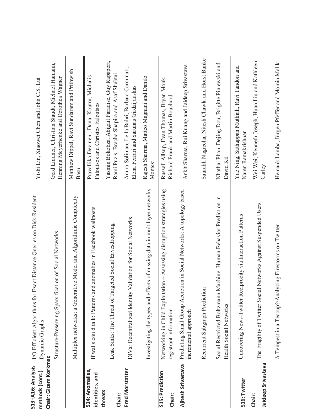| S13+A16: Analysis<br>methods (cont.) | Exact Distance Queries on Disk-Resident<br>I/O Efficient Algorithms for<br>Dynamic Graphs          | Yishi Lin, Xiaowei Chen and John C.S. Lui                                                      |
|--------------------------------------|----------------------------------------------------------------------------------------------------|------------------------------------------------------------------------------------------------|
| Chair: Gizem Korkmaz                 | Structure-Preserving Sparsification of Social Networks                                             | Gerd Lindner, Christian Staudt, Michael Hamann,<br>Henning Meyerhenke and Dorothea Wagner      |
|                                      | Multiplex networks: a Generative Model and Algorithmic Complexity                                  | Matthew Dippel, Ravi Sundaram and Prithwish<br>Basu                                            |
| S14: Anomalies,<br>identities, and   | If walls could talk: Patterns and anomalies in Facebook wallposts                                  | Pravallika Devineni, Danai Koutra, Michalis<br>Faloutsos and Christos Faloutsos                |
| threats<br>Chair:                    | Leak Sinks: The Threat of Targeted Social Eavesdropping                                            | Yasmin Bokobza, Abigail Paradise, Guy Rapaport,<br>Rami Puzis, Bracha Shapira and Asaf Shabtai |
| Fred Morstatter                      | DIVa: Decentralized Identity Validation for Social Networks                                        | Amira Soliman, Leila Bahri, Barbara Carminati,<br>Elena Ferrari and Sarunas Girdzijauskas      |
|                                      | Investigating the types and effects of missing data in multilayer networks                         | Rajesh Sharma, Matteo Magnani and Danilo<br><b>Montesi</b>                                     |
| S15: Prediction<br>Chair:            | Networking in Child Exploitation - Assessing disruption strategies using<br>registrant information | Russell Allsup, Evan Thomas, Bryan Monk,<br>Richard Frank and Martin Bouchard                  |
| Jaideep Srivastava                   | Predicting Small Group Accretion in Social Networks: A topology based<br>incremental approach      | Ankit Sharma, Rui Kuang and Jaideep Srivastava                                                 |
|                                      | $\sin$<br>Recurrent Subgraph Predicti                                                              | Saurabh Nagrecha, Nitesh Chawla and Horst Bunke                                                |
|                                      | Social Restricted Boltzmann Machine: Human Behavior Prediction in<br>Health Social Networks        | Nhathai Phan, Dejing Dou, Brigitte Piniewski and<br>David Kil                                  |
| S16: Twitter                         | eciprocity via Interaction Patterns<br>Uncovering News-Twitter R                                   | Yue Ning, Sathappan Muthiah, Ravi Tandon and<br>Naren Ramakrishnan                             |
| Ajitesh Srivastava<br>Chair:         | The Fragility of Twitter Social Networks Against Suspended Users                                   | Wei Wei, Kenneth Joseph, Huan Liu and Kathleen<br>Carley                                       |
|                                      | A Tempest in a Teacup?\Analyzing Firestorms on Twitter                                             | Hemank Lamba, Jürgen Pfeffer and Momin Malik                                                   |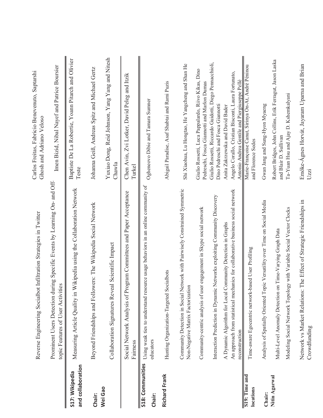|                                     | Reverse Engineering Socialbot Infiltration Strategies in Twitter                                                    | Carlos Freitas, Fabricio Benevenuto, Saptarshi<br>Ghosh and Adriano Veloso                           |
|-------------------------------------|---------------------------------------------------------------------------------------------------------------------|------------------------------------------------------------------------------------------------------|
|                                     | Prominent Users Detection during Specific Events by Learning On- and Off-<br>topic Features of User Activities      | Imen Bizid, Nibal Nayef and Patrice Boursier                                                         |
| and collaboration<br>S17: Wikipedia | Wikipedia using the Collaboration Network<br>Measuring Article Quality in                                           | Baptiste De La Robertie, Yoann Pitarch and Olivier<br>Teste                                          |
| Wei Gao<br>Chair:                   | Beyond Friendships and Followers: The Wikipedia Social Network                                                      | Johanna Geiß, Andreas Spitz and Michael Gertz                                                        |
|                                     | Collaboration Signatures Reveal Scientific Impact                                                                   | Yuxiao Dong, Reid Johnson, Yang Yang and Nitesh<br>Chawla                                            |
|                                     | Social Network Analysis of Program Committees and Paper Acceptance<br>Fairness                                      | Chen Avin, Zvi Lotker, David Peleg and Itzik<br>Turkel                                               |
| S18: Communities                    | Using weak ties to understand resource usage behaviors in an online community of<br>educators                       | Ogheneovo Dibie and Tamara Sumner                                                                    |
| Chair:                              |                                                                                                                     |                                                                                                      |
| Richard Frank                       | Socialbots<br>Hunting Organization-Targeted                                                                         | Abigail Paradise, Asaf Shabtai and Rami Puzis                                                        |
|                                     | Network with Pairwisely Constrained Symmetric<br>Non-Negative Matrix Factorization<br>Community Detection in Social | Shi Xiaohua, Lu Hongtao, He Yangcheng and Shan He                                                    |
|                                     | Community-centric analysis of user engagement in Skype social network                                               | Giulio Rossetti, Luca Pappalardo, Riivo Kikas, Dino<br>Pedreschi, Fosca Giannotti and Marlon Dumas   |
|                                     | Interaction Prediction in Dynamic Networks exploiting Community Discovery                                           | Giulio Rossetti, Riccardo Guidotti, Diego Pennacchioli,<br>Dino Pedreschi and Fosca Giannotti        |
|                                     | Community Detection in Graphs<br>A Dynamic Algorithm for Local                                                      | Anita Zakrzewska and David Bader                                                                     |
|                                     | An approach from statistical mechanics for collaborative business social network<br>reconstruction                  | Angelo Corallo, Cristian Bisconti, Laura Fortunato,<br>Antonio Andrea Gentile and Piergiuseppe Pellè |
| S19: Time and<br>locations          | Time-aware Egocentric network-based User Profiling                                                                  | Marie-Françoise Canut, Sirinya On-At, André Péninou<br>and Florence Sedes                            |
| Chair:                              | Analysis of Spatially Oriented Topic Versatility over Time on Social Media                                          | Gwan Jang and Sung-Hyon Myaeng                                                                       |
| Nitin Agarwal                       | on Time-Varying Graph Data<br>Multi-Level Anomaly Detection                                                         | Robert Bridges, John Collins, Erik Ferragut, Jason Laska<br>and Blair D. Sullivan                    |
|                                     | logy with Variable Social Vector Clocks<br>Modeling Social Network Topol                                            | Ta-Yuan Hsu and Ajay D. Kshemkalyani                                                                 |
|                                     | Network vs Market Relations: The Effect of Strategic Friendships in<br>Crowdfunding                                 | Emőke-Ágnes Horvát, Jayaram Uparna and Brian<br>Uzzi                                                 |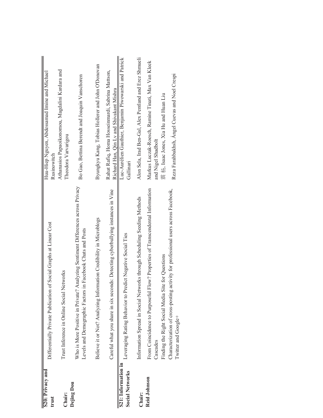| S20: Privacy and<br>trust              | Differentially Private Publication of Social Graphs at Linear Cost                                                                                                                                                                                                | Huu-Hiep Nguyen, Abdessamad Imine and Michael<br>Rusinowitch                                                                                                       |
|----------------------------------------|-------------------------------------------------------------------------------------------------------------------------------------------------------------------------------------------------------------------------------------------------------------------|--------------------------------------------------------------------------------------------------------------------------------------------------------------------|
| Chair:                                 | Networks<br>Trust Inference in Online Social                                                                                                                                                                                                                      | Athanasios Papaoikonomou, Magdalini Kardara and<br>Theodora Varvarigou                                                                                             |
| Dejing Dou                             | Who is More Positive in Private? Analyzing Sentiment Differences across Privacy<br>Levels and Demographic Factors in Facebook Chats and Posts                                                                                                                     | Bo Gao, Bettina Berendt and Joaquin Vanschoren                                                                                                                     |
|                                        | Believe it or Not? Analyzing Information Credibility in Microblogs                                                                                                                                                                                                | Byungkyu Kang, Tobias Hollerer and John O'Donovan                                                                                                                  |
|                                        | Careful what you share in six seconds: Detecting cyberbullying instances in Vine                                                                                                                                                                                  | Rahat Rafiq, Homa Hosseinmardi, Sabrina Mattson,<br>Richard Han, Qin Lv and Shivakant Mishra                                                                       |
| S21: Information in<br>Social Networks | Leveraging Rating Behavior to Predict Negative Social Ties                                                                                                                                                                                                        | Luc-Aurélien Gauthier, Benjamin Piwowarski and Patrick<br>Gallinari                                                                                                |
| Chair:                                 | Information Spread in Social Networks through Scheduling Seeding Methods                                                                                                                                                                                          | Alon Sela, Irad Ben-Gal, Alex Pentland and Erez Shmueli                                                                                                            |
| Reid Johnson                           | Flow? Properties of Transcendental Information<br>Characterization of cross-posting activity for professional users across Facebook,<br>Site for Questions<br>From Coincidence to Purposeful<br>Finding the Right Social Media<br>Twitter and Google+<br>Cascades | Markus Luczak-Roesch, Ramine Tinati, Max Van Kleek<br>Reza Farahbakhsh, Angel Cuevas and Noel Crespi<br>震杨, Isaac Jones, Xia Hu and Huan Liu<br>and Nigel Shadbolt |
|                                        |                                                                                                                                                                                                                                                                   |                                                                                                                                                                    |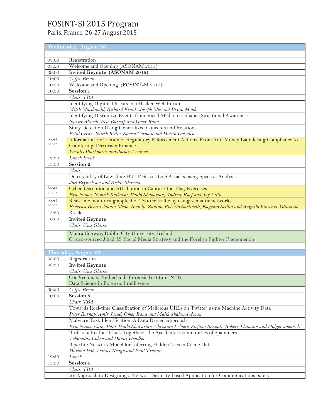# FOSINT-SI 2015 Program

# Paris, France, 26-27 August 2015

|       | Wednesday, August 26                                                                                             |
|-------|------------------------------------------------------------------------------------------------------------------|
|       |                                                                                                                  |
| 08:00 | Registration                                                                                                     |
| 08:30 | Welcome and Opening (ASONAM 2015)                                                                                |
| 09:00 | Invited Keynote (ASONAM 2015)                                                                                    |
| 10:00 | Coffee Break                                                                                                     |
| 10:20 | Welcome and Opening (FOSINT-SI 2015)                                                                             |
| 10:30 | Session 1                                                                                                        |
|       | Chair: TBA                                                                                                       |
|       | Identifying Digital Threats in a Hacker Web Forum                                                                |
|       | Mitch Macdonald, Richard Frank, Joseph Mei and Bryan Monk                                                        |
|       | Identifying Disruptive Events from Social Media to Enhance Situational Awareness                                 |
|       | Nasser Alsaedi, Pete Burnap and Omer Rana                                                                        |
|       | Story Detection Using Generalized Concepts and Relations                                                         |
|       | Betul Ceran, Nitesh Kedia, Steven Corman and Hasan Davulcu                                                       |
| Short | Information Extraction of Regulatory Enforcement Actions: From Anti Money Laundering Compliance to               |
| paper | <b>Countering Terrorism Finance</b>                                                                              |
|       | Vassilis Plachouras and Jochen Leidner                                                                           |
| 12:30 | Lunch Break                                                                                                      |
| 13:30 | Session 2                                                                                                        |
|       | Chair:                                                                                                           |
|       | Detectability of Low-Rate HTTP Server DoS Attacks using Spectral Analysis                                        |
|       | Joel Brynielsson and Rishie Sharma                                                                               |
| Short | Cyber-Deception and Attribution in Capture-the-Flag Exercises                                                    |
| paper | Eric Nunes, Nimish Kulkarni, Paulo Shakarian, Andrew Ruef and Jay Little                                         |
| Short | Real-time monitoring applied of Twitter traffic by using semantic networks                                       |
| paper | Federica Bisio, Claudia Meda, Rodolfo Zunino, Roberto Surlinelli, Eugenio Scillia and Augusto Vincenzo Ottaviano |
| 15:30 | <b>Break</b>                                                                                                     |
| 16:00 | <b>Invited Keynote</b>                                                                                           |
|       | Chair: Uwe Glässer                                                                                               |
|       | Maura Conway, Dublin City University, Ireland                                                                    |
|       | Crowd-sourced Jihad: IS' Social Media Strategy and the Foreign Fighter Phenomenon                                |
|       |                                                                                                                  |
|       | Thursday, August 27                                                                                              |
| 08:00 | Registration                                                                                                     |
| 08:30 | <b>Invited Keynote</b>                                                                                           |
|       | Chair: Uwe Glässer                                                                                               |
|       | Cor Veenman, Netherlands Forensic Institute (NFI)                                                                |
|       | Data Science in Forensic Intelligence                                                                            |
| 09:30 | Coffee Break                                                                                                     |
| 10:00 | Session 3                                                                                                        |
|       | Chair: TBA                                                                                                       |
|       | Towards Real-time Classification of Malicious URLs on Twitter using Machine Activity Data                        |
|       | Peter Burnap, Amir Javed, Omer Rana and Malik Shahzad Awan                                                       |
|       | Malware Task Identification: A Data Driven Approach                                                              |
|       | Eric Nunes, Casey Buto, Paulo Shakarian, Christian Lebiere, Stefano Bennati, Robert Thomson and Holger Jaenisch  |
|       | Birds of a Feather Flock Together: The Accidental Communities of Spammers                                        |
|       | Yehonatan Cohen and Danny Hendler                                                                                |
|       | Bipartite Network Model for Inferring Hidden Ties in Crime Data                                                  |
|       | Haruna Isah, Daniel Neagu and Paul Trundle.                                                                      |
| 12:30 | Lunch                                                                                                            |
| 13:30 | Session 4                                                                                                        |
|       | Chair: TBA                                                                                                       |
|       | An Approach to Designing a Network Security-based Application for Communications Safety                          |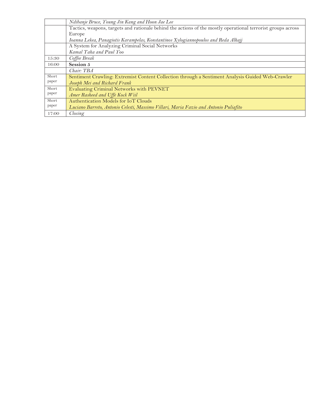|       | Ndibanje Bruce, Young Jin Kang and Hoon Jae Lee                                                               |
|-------|---------------------------------------------------------------------------------------------------------------|
|       | Tactics, we apons, targets and rationale behind the actions of the mostly operational terrorist groups across |
|       | Europe                                                                                                        |
|       | Ioanna Lekea, Panagiotis Karampelas, Konstantinos Xylogiannopoulos and Reda Alhajj                            |
|       | A System for Analyzing Criminal Social Networks                                                               |
|       | Kamal Taha and Paul Yoo                                                                                       |
| 15:30 | Coffee Break                                                                                                  |
| 16:00 | Session 5                                                                                                     |
|       | Chair: TBA                                                                                                    |
| Short | Sentiment Crawling: Extremist Content Collection through a Sentiment Analysis Guided Web-Crawler              |
| paper | Joseph Mei and Richard Frank                                                                                  |
| Short | Evaluating Criminal Networks with PEVNET                                                                      |
| paper | Amer Rasheed and Uffe Kock Wiil                                                                               |
| Short | Authentication Models for IoT Clouds                                                                          |
| paper | Luciano Barreto, Antonio Celesti, Massimo Villari, Maria Fazio and Antonio Puliafito                          |
| 17:00 | Closing                                                                                                       |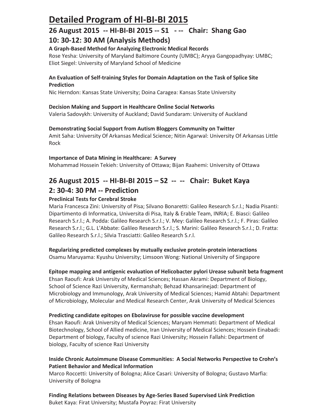# **Detailed Program of HI-BI-BI 2015**

# 26 August 2015 -- HI-BI-BI 2015 -- S1 - -- Chair: Shang Gao

# **10: 30-12: 30 AM (Analysis Methods)**

# **A Graph-Based Method for Analyzing Electronic Medical Records**

Rose Yesha: University of Maryland Baltimore County (UMBC); Aryya Gangopadhyay: UMBC; Eliot Siegel: University of Maryland School of Medicine

# An Evaluation of Self-training Styles for Domain Adaptation on the Task of Splice Site **Prediction**

Nic Herndon: Kansas State University; Doina Caragea: Kansas State University

# **Decision Making and Support in Healthcare Online Social Networks**

Valeria Sadovykh: University of Auckland; David Sundaram: University of Auckland

# **Demonstrating Social Support from Autism Bloggers Community on Twitter**

Amit Saha: University Of Arkansas Medical Science; Nitin Agarwal: University Of Arkansas Little Rock

# **Importance of Data Mining in Healthcare: A Survey**

Mohammad Hossein Tekieh: University of Ottawa; Bijan Raahemi: University of Ottawa

# 26 August 2015 -- HI-BI-BI 2015 - S2 -- -- Chair: Buket Kaya **2: 30-4: 30 PM -- Prediction**

# **Preclinical Tests for Cerebral Stroke**

Maria Francesca Zini: University of Pisa; Silvano Bonaretti: Galileo Research S.r.l.; Nadia Pisanti: Dipartimento di Informatica, Universita di Pisa, Italy & Erable Team, INRIA; E. Biasci: Galileo Research S.r.l.; A. Podda: Galileo Research S.r.l.; V. Mey: Galileo Research S.r.l.; F. Piras: Galileo Research S.r.l.; G.L. L'Abbate: Galileo Research S.r.l.; S. Marini: Galileo Research S.r.l.; D. Fratta: Galileo Research S.r.l.; Silvia Trasciatti: Galileo Research S.r.l.

# Regularizing predicted complexes by mutually exclusive protein-protein interactions

Osamu Maruyama: Kyushu University; Limsoon Wong: National University of Singapore

Epitope mapping and antigenic evaluation of Helicobacter pylori Urease subunit beta fragment Ehsan Raoufi: Arak University of Medical Sciences; Hassan Akrami: Department of Biology, School of Science Razi University, Kermanshah; Behzad Khansarinejad: Department of Microbiology and Immunology, Arak University of Medical Sciences; Hamid Abtahi: Department of Microbiology, Molecular and Medical Research Center, Arak University of Medical Sciences

# Predicting candidate epitopes on Ebolaviruse for possible vaccine development

Ehsan Raoufi: Arak University of Medical Sciences; Maryam Hemmati: Department of Medical Biotechnology, School of Allied medicine, Iran University of Medical Sciences; Hossein Einabadi: Department of biology, Faculty of science Razi University; Hossein Fallahi: Department of biology, Faculty of science Razi University

# **/** Inside Chronic Autoimmune Disease Communities: A Social Networks Perspective to Crohn's **Patient Behavior and Medical Information**

Marco Roccetti: University of Bologna; Alice Casari: University of Bologna; Gustavo Marfia: University of Bologna

Finding Relations between Diseases by Age-Series Based Supervised Link Prediction Buket Kaya: Firat University; Mustafa Poyraz: Firat University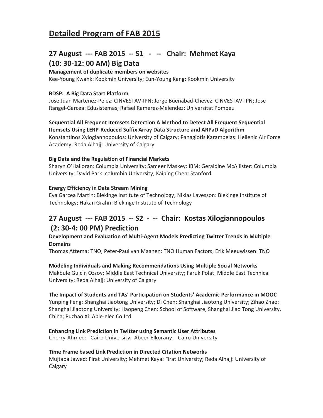# **Detailed Program of FAB 2015**

# 27 August --- FAB 2015 -- S1 - -- Chair: Mehmet Kaya **(10: 30-12: 00 AM) Big Data**

## **Management of duplicate members on websites**

Kee-Young Kwahk: Kookmin University; Eun-Young Kang: Kookmin University

## **BDSP: A Big Data Start Platform**

Jose Juan Martenez-Pelez: CINVESTAV-IPN; Jorge Buenabad-Chevez: CINVESTAV-IPN; Jose Rangel-Garcea: Edusistemas; Rafael Ramerez-Melendez: Universitat Pompeu

# Sequential All Frequent Itemsets Detection A Method to Detect All Frequent Sequential **/temsets Using LERP-Reduced Suffix Array Data Structure and ARPaD Algorithm**

Konstantinos Xylogiannopoulos: University of Calgary; Panagiotis Karampelas: Hellenic Air Force Academy; Reda Alhajj: University of Calgary

## **Sig Data and the Regulation of Financial Markets**

Sharyn O'Halloran: Columbia University; Sameer Maskey: IBM; Geraldine McAllister: Columbia University; David Park: columbia University; Kaiping Chen: Stanford

## **Energy Efficiency in Data Stream Mining**

Eva Garcea Martin: Blekinge Institute of Technology; Niklas Lavesson: Blekinge Institute of Technology; Hakan Grahn: Blekinge Institute of Technology

# 27 August --- FAB 2015 -- S2 - -- Chair: Kostas Xilogiannopoulos **(2: 30-4: 00 PM) Prediction**

# Development and Evaluation of Multi-Agent Models Predicting Twitter Trends in Multiple **Domains**

Thomas Attema: TNO; Peter-Paul van Maanen: TNO Human Factors; Erik Meeuwissen: TNO

## **Modeling Individuals and Making Recommendations Using Multiple Social Networks**

Makbule Gulcin Ozsoy: Middle East Technical University; Faruk Polat: Middle East Technical University; Reda Alhajj: University of Calgary

## The Impact of Students and TAs' Participation on Students' Academic Performance in MOOC

Yunping Feng: Shanghai Jiaotong University; Di Chen: Shanghai Jiaotong University; Zihao Zhao: Shanghai Jiaotong University; Haopeng Chen: School of Software, Shanghai Jiao Tong University, China; Puzhao Xi: Able-elec.Co.Ltd

## Enhancing Link Prediction in Twitter using Semantic User Attributes

Cherry Ahmed: Cairo University; Abeer Elkorany: Cairo University

## **Time Frame based Link Prediction in Directed Citation Networks**

Mujtaba Jawed: Firat University; Mehmet Kaya: Firat University; Reda Alhajj: University of Calgary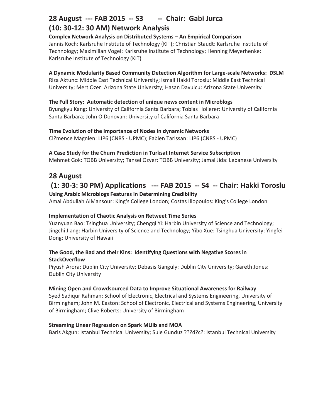# 28 August --- FAB 2015 -- S3 -- Chair: Gabi Jurca **(10: 30-12: 30 AM) Network Analysis**

Complex Network Analysis on Distributed Systems - An Empirical Comparison Jannis Koch: Karlsruhe Institute of Technology (KIT); Christian Staudt: Karlsruhe Institute of Technology; Maximilian Vogel: Karlsruhe Institute of Technology; Henning Meyerhenke: Karlsruhe Institute of Technology (KIT)

# **A Dynamic Modularity Based Community Detection Algorithm for Large-scale Networks: DSLM**

Riza Aktunc: Middle East Technical University; Ismail Hakki Toroslu: Middle East Technical University; Mert Ozer: Arizona State University; Hasan Davulcu: Arizona State University

# The Full Story: Automatic detection of unique news content in Microblogs

Byungkyu Kang: University of California Santa Barbara; Tobias Hollerer: University of California Santa Barbara; John O'Donovan: University of California Santa Barbara

# Time Evolution of the Importance of Nodes in dynamic Networks

Cl?mence Magnien: LIP6 (CNRS - UPMC); Fabien Tarissan: LIP6 (CNRS - UPMC)

# **A Case Study for the Churn Prediction in Turksat Internet Service Subscription**

Mehmet Gok: TOBB University; Tansel Ozyer: TOBB University; Jamal Jida: Lebanese University

# **28 August**

# **(1: 30-3: 30 PM) Applications --- FAB 2015 -- S4 -- Chair: Hakki Toroslu Using Arabic Microblogs Features in Determining Credibility**

Amal Abdullah AlMansour: King's College London; Costas Iliopoulos: King's College London

# **Implementation of Chaotic Analysis on Retweet Time Series**

Yuanyuan Bao: Tsinghua University; Chengqi Yi: Harbin University of Science and Technology; Jingchi Jiang: Harbin University of Science and Technology; Yibo Xue: Tsinghua University; Yingfei Dong: University of Hawaii

# The Good, the Bad and their Kins: Identifying Questions with Negative Scores in **StackOverflow**

Piyush Arora: Dublin City University; Debasis Ganguly: Dublin City University; Gareth Jones: Dublin City University

# **Mining Open and Crowdsourced Data to Improve Situational Awareness for Railway**

Syed Sadiqur Rahman: School of Electronic, Electrical and Systems Engineering, University of Birmingham; John M. Easton: School of Electronic, Electrical and Systems Engineering, University of Birmingham; Clive Roberts: University of Birmingham

# **Streaming Linear Regression on Spark MLIib and MOA**

Baris Akgun: Istanbul Technical University; Sule Gunduz ???d?c?: Istanbul Technical University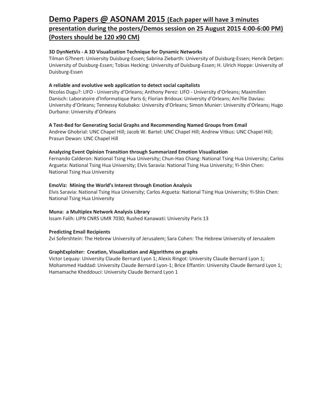# **Demo Papers @ ASONAM 2015 (Each paper will have 3 minutes**

# presentation during the posters/Demos session on 25 August 2015 4:00-6:00 PM) (Posters should be 120 x90 CM)

## 3D DynNetVis - A 3D Visualization Technique for Dynamic Networks

Tilman G?hnert: University Duisburg-Essen; Sabrina Ziebarth: University of Duisburg-Essen; Henrik Detjen: University of Duisburg-Essen; Tobias Hecking: University of Duisburg-Essen; H. Ulrich Hoppe: University of Duisburg-Essen

## A reliable and evolutive web application to detect social capitalists

Nicolas Dugu?: LIFO - University d'Orleans; Anthony Perez: LIFO - University d'Orleans; Maximilien Danisch: Laboratoire d'Informatique Paris 6; Florian Bridoux: University d'Orleans; Am?lie Daviau: University d'Orleans; Tennessy Kolubako: University d'Orleans; Simon Munier: University d'Orleans; Hugo Durbano: University d'Orleans

## **A Test-Bed for Generating Social Graphs and Recommending Named Groups from Email**

Andrew Ghobrial: UNC Chapel Hill; Jacob W. Bartel: UNC Chapel Hill; Andrew Vitkus: UNC Chapel Hill; Prasun Dewan: UNC Chapel Hill

## **Analyzing Event Opinion Transition through Summarized Emotion Visualization**

Fernando Calderon: National Tsing Hua University; Chun-Hao Chang: National Tsing Hua University; Carlos Argueta: National Tsing Hua University; Elvis Saravia: National Tsing Hua University; Yi-Shin Chen: National Tsing Hua University

## EmoViz: Mining the World's Interest through Emotion Analysis

Elvis Saravia: National Tsing Hua University; Carlos Argueta: National Tsing Hua University; Yi-Shin Chen: National Tsing Hua University

## **Muna: a Multiplex Network Analysis Library**

Issam Falih: LIPN CNRS UMR 7030; Rushed Kanawati: University Paris 13

## **Predicting Email Recipients**

Zvi Sofershtein: The Hebrew University of Jerusalem; Sara Cohen: The Hebrew University of Jerusalem

## GraphExploiter: Creation, Visualization and Algorithms on graphs

Victor Lequay: University Claude Bernard Lyon 1; Alexis Ringot: University Claude Bernard Lyon 1; Mohammed Haddad: University Claude Bernard Lyon-1; Brice Effantin: University Claude Bernard Lyon 1; Hamamache Kheddouci: University Claude Bernard Lyon 1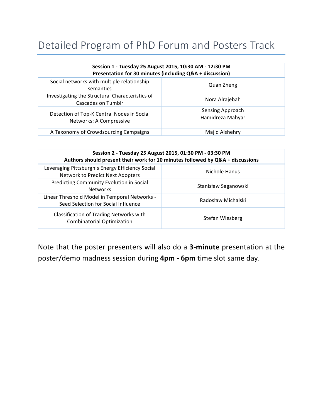# Detailed Program of PhD Forum and Posters Track

| Session 1 - Tuesday 25 August 2015, 10:30 AM - 12:30 PM<br>Presentation for 30 minutes (including Q&A + discussion) |                                      |  |
|---------------------------------------------------------------------------------------------------------------------|--------------------------------------|--|
| Social networks with multiple relationship<br>semantics                                                             | Quan Zheng                           |  |
| Investigating the Structural Characteristics of<br>Cascades on Tumblr                                               | Nora Alrajebah                       |  |
| Detection of Top-K Central Nodes in Social<br>Networks: A Compressive                                               | Sensing Approach<br>Hamidreza Mahyar |  |
| A Taxonomy of Crowdsourcing Campaigns                                                                               | Majid Alshehry                       |  |

| Session 2 - Tuesday 25 August 2015, 01:30 PM - 03:30 PM<br>Authors should present their work for 10 minutes followed by Q&A + discussions |                      |  |
|-------------------------------------------------------------------------------------------------------------------------------------------|----------------------|--|
| Leveraging Pittsburgh's Energy Efficiency Social<br><b>Network to Predict Next Adopters</b>                                               | Nichole Hanus        |  |
| Predicting Community Evolution in Social<br><b>Networks</b>                                                                               | Stanisław Saganowski |  |
| Linear Threshold Model in Temporal Networks -<br>Seed Selection for Social Influence                                                      | Radosław Michalski   |  |
| <b>Classification of Trading Networks with</b><br><b>Combinatorial Optimization</b>                                                       | Stefan Wiesberg      |  |

Note that the poster presenters will also do a 3-minute presentation at the poster/demo madness session during 4pm - 6pm time slot same day.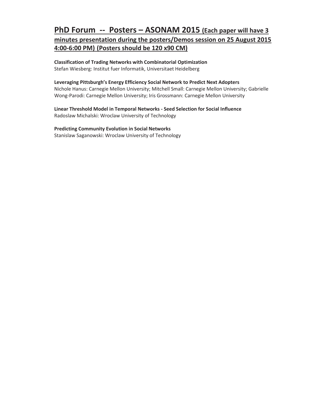# **PhD Forum -- Posters - ASONAM 2015 (Each paper will have 3** minutes presentation during the posters/Demos session on 25 August 2015 4:00-6:00 PM) (Posters should be 120 x90 CM)

## Classification of Trading Networks with Combinatorial Optimization Stefan Wiesberg: Institut fuer Informatik, Universitaet Heidelberg

#### Leveraging Pittsburgh's Energy Efficiency Social Network to Predict Next Adopters

Nichole Hanus: Carnegie Mellon University; Mitchell Small: Carnegie Mellon University; Gabrielle Wong-Parodi: Carnegie Mellon University; Iris Grossmann: Carnegie Mellon University

Linear Threshold Model in Temporal Networks - Seed Selection for Social Influence Radoslaw Michalski: Wroclaw University of Technology

#### Predicting Community Evolution in Social Networks

Stanislaw Saganowski: Wroclaw University of Technology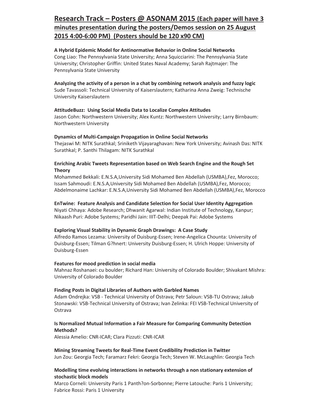# **Research Track – Posters @ ASONAM 2015 (Each paper will have 3** minutes presentation during the posters/Demos session on 25 August 2015 4:00-6:00 PM) (Posters should be 120 x90 CM)

## A Hybrid Epidemic Model for Antinormative Behavior in Online Social Networks

Cong Liao: The Pennsylvania State University; Anna Squicciarini: The Pennsylvania State University; Christopher Griffin: United States Naval Academy; Sarah Rajtmajer: The Pennsylvania State University

Analyzing the activity of a person in a chat by combining network analysis and fuzzy logic Sude Tavassoli: Technical University of Kaiserslautern; Katharina Anna Zweig: Technische University Kaiserslautern

#### AttitudeBuzz: Using Social Media Data to Localize Complex Attitudes

Jason Cohn: Northwestern University; Alex Kuntz: Northwestern University; Larry Birnbaum: Northwestern University

#### **Dynamics of Multi-Campaign Propagation in Online Social Networks**

Thejaswi M: NITK Surathkal; Sriniketh Vijayaraghavan: New York University; Avinash Das: NITK Surathkal; P. Santhi Thilagam: NITK Surathkal

## Enriching Arabic Tweets Representation based on Web Search Engine and the Rough Set **Theory**

Mohammed Bekkali: E.N.S.A,University Sidi Mohamed Ben Abdellah (USMBA),Fez, Morocco; Issam Sahmoudi: E.N.S.A,University Sidi Mohamed Ben Abdellah (USMBA),Fez, Morocco; Abdelmonaime Lachkar: E.N.S.A,University Sidi Mohamed Ben Abdellah (USMBA),Fez, Morocco

#### **EnTwine: Feature Analysis and Candidate Selection for Social User Identity Aggregation**

Niyati Chhaya: Adobe Research; Dhwanit Agarwal: Indian Institute of Technology, Kanpur; Nikaash Puri: Adobe Systems; Paridhi Jain: IIIT-Delhi; Deepak Pai: Adobe Systems

#### Exploring Visual Stability in Dynamic Graph Drawings: A Case Study

Alfredo Ramos Lezama: University of Duisburg-Essen; Irene-Angelica Chounta: University of Duisburg-Essen; Tilman G?hnert: University Duisburg-Essen; H. Ulrich Hoppe: University of Duisburg-Essen

#### Features for mood prediction in social media

Mahnaz Roshanaei: cu boulder; Richard Han: University of Colorado Boulder; Shivakant Mishra: University of Colorado Boulder

#### **Finding Posts in Digital Libraries of Authors with Garbled Names**

Adam Ondrejka: VSB - Technical University of Ostrava; Petr Saloun: VSB-TU Ostrava; Jakub Stonawski: VSB-Technical University of Ostrava; Ivan Zelinka: FEI VSB-Technical University of Ostrava

## **Is Normalized Mutual Information a Fair Measure for Comparing Community Detection Methods?**

Alessia Amelio: CNR-ICAR; Clara Pizzuti: CNR-ICAR

#### **Mining Streaming Tweets for Real-Time Event Credibility Prediction in Twitter**

Jun Zou: Georgia Tech; Faramarz Fekri: Georgia Tech; Steven W. McLaughlin: Georgia Tech

#### Modelling time evolving interactions in networks through a non stationary extension of stochastic block models

Marco Corneli: University Paris 1 Panth?on-Sorbonne; Pierre Latouche: Paris 1 University; Fabrice Rossi: Paris 1 University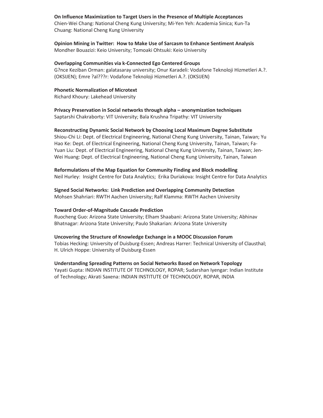#### **On Influence Maximization to Target Users in the Presence of Multiple Acceptances**

Chien-Wei Chang: National Cheng Kung University; Mi-Yen Yeh: Academia Sinica; Kun-Ta Chuang: National Cheng Kung University

**Opinion Mining in Twitter: How to Make Use of Sarcasm to Enhance Sentiment Analysis** Mondher Bouazizi: Keio University; Tomoaki Ohtsuki: Keio University

#### **Overlapping Communities via k-Connected Ego Centered Groups**

G?nce Keziban Orman: galatasaray university; Onur Karadeli: Vodafone Teknoloji Hizmetleri A.?. (OKSIJEN); Emre ?al???r: Vodafone Teknoloji Hizmetleri A.?. (OKSIJEN)

#### **Phonetic Normalization of Microtext**

Richard Khoury: Lakehead University

Privacy Preservation in Social networks through alpha - anonymization techniques Saptarshi Chakraborty: VIT University; Bala Krushna Tripathy: VIT University

#### Reconstructing Dynamic Social Network by Choosing Local Maximum Degree Substitute

Shiou-Chi Li: Dept. of Electrical Engineering, National Cheng Kung University, Tainan, Taiwan; Yu Hao Ke: Dept. of Electrical Engineering, National Cheng Kung University, Tainan, Taiwan; Fa-Yuan Liu: Dept. of Electrical Engineering, National Cheng Kung University, Tainan, Taiwan; Jen-Wei Huang: Dept. of Electrical Engineering, National Cheng Kung University, Tainan, Taiwan

#### Reformulations of the Map Equation for Community Finding and Block modelling

Neil Hurley: Insight Centre for Data Analytics; Erika Duriakova: Insight Centre for Data Analytics

#### Signed Social Networks: Link Prediction and Overlapping Community Detection

Mohsen Shahriari: RWTH Aachen University; Ralf Klamma: RWTH Aachen University

#### **Toward Order-of-Magnitude Cascade Prediction**

Ruocheng Guo: Arizona State University; Elham Shaabani: Arizona State University; Abhinav Bhatnagar: Arizona State University; Paulo Shakarian: Arizona State University

#### Uncovering the Structure of Knowledge Exchange in a MOOC Discussion Forum

Tobias Hecking: University of Duisburg-Essen; Andreas Harrer: Technical University of Clausthal; H. Ulrich Hoppe: University of Duisburg-Essen

#### Understanding Spreading Patterns on Social Networks Based on Network Topology

Yayati Gupta: INDIAN INSTITUTE OF TECHNOLOGY, ROPAR; Sudarshan Iyengar: Indian Institute of Technology; Akrati Saxena: INDIAN INSTITUTE OF TECHNOLOGY, ROPAR, INDIA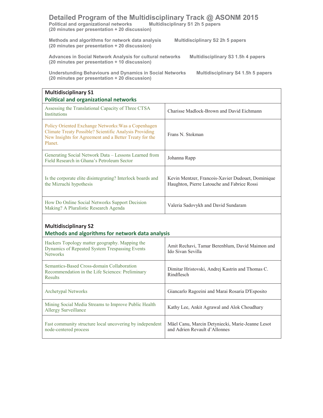|                                       | Detailed Program of the Multidisciplinary Track @ ASONM 2015 |
|---------------------------------------|--------------------------------------------------------------|
| Political and organizational networks | Multidisciplinary S1 2h 5 papers                             |

**Political and organizational networks** (20 minutes per presentation + 20 discussion)

Methods and algorithms for network data analysis (20 minutes per presentation + 20 discussion)

Multidisciplinary S2 2h 5 papers

Advances in Social Network Analysis for cultural networks Multidisciplinary S3 1.5h 4 papers (20 minutes per presentation + 10 discussion)

**Understunding Behaviours and Dynamics in Social Networks** Multidisciplinary S4 1.5h 5 papers (20 minutes per presentation + 20 discussion)

| <b>Multidisciplinary S1</b><br><b>Political and organizational networks</b>                                                                                                               |                                                                                                  |  |  |
|-------------------------------------------------------------------------------------------------------------------------------------------------------------------------------------------|--------------------------------------------------------------------------------------------------|--|--|
| Assessing the Translational Capacity of Three CTSA                                                                                                                                        | Charisse Madlock-Brown and David Eichmann                                                        |  |  |
| Institutions                                                                                                                                                                              |                                                                                                  |  |  |
| Policy Oriented Exchange Networks: Was a Copenhagen<br><b>Climate Treaty Possible? Scientific Analysis Providing</b><br>New Insights for Agreement and a Better Treaty for the<br>Planet. | Frans N. Stokman                                                                                 |  |  |
| Generating Social Network Data - Lessons Learned from<br>Field Research in Ghana's Petroleum Sector                                                                                       | Johanna Rapp                                                                                     |  |  |
| Is the corporate elite disintegrating? Interlock boards and<br>the Mizruchi hypothesis                                                                                                    | Kevin Mentzer, Francois-Xavier Dudouet, Dominique<br>Haughton, Pierre Latouche and Fabrice Rossi |  |  |
| How Do Online Social Networks Support Decision<br>Making? A Pluralistic Research Agenda                                                                                                   | Valeria Sadovykh and David Sundaram                                                              |  |  |
| <b>Multidisciplinary S2</b><br>Methods and algorithms for network data analysis                                                                                                           |                                                                                                  |  |  |
| Hackers Topology matter geography. Mapping the<br>Dynamics of Repeated System Trespassing Events<br><b>Networks</b>                                                                       | Amit Rechavi, Tamar Berenblum, David Maimon and<br>Ido Sivan Sevilla                             |  |  |
| Semantics-Based Cross-domain Collaboration<br>Recommendation in the Life Sciences: Preliminary<br><b>Results</b>                                                                          | Dimitar Hristovski, Andrej Kastrin and Thomas C.<br>Rindflesch                                   |  |  |
| Archetypal Networks                                                                                                                                                                       | Giancarlo Ragozini and Marai Rosaria D'Esposito                                                  |  |  |
| Mining Social Media Streams to Improve Public Health<br><b>Allergy Surveillance</b>                                                                                                       | Kathy Lee, Ankit Agrawal and Alok Choudhary                                                      |  |  |
| Fast community structure local uncovering by independent<br>node-centered process                                                                                                         | Mäel Canu, Marcin Detyniecki, Marie-Jeanne Lesot<br>and Adrien Revault d'Allonnes                |  |  |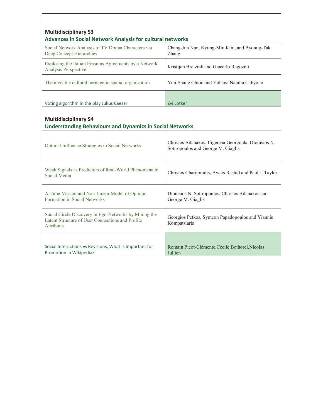| <b>Multidisciplinary S3</b><br><b>Advances in Social Network Analysis for cultural networks</b>                                |                                                                                             |  |  |  |
|--------------------------------------------------------------------------------------------------------------------------------|---------------------------------------------------------------------------------------------|--|--|--|
| Social Network Analysis of TV Drama Characters via<br>Deep Concept Hierarchies                                                 | Chang-Jun Nan, Kyung-Min Kim, and Byoung-Tak<br>Zhang                                       |  |  |  |
| Exploring the Italian Erasmus Agreements by a Network<br>Analysis Perspective                                                  | Kristijan Breizink and Giacarlo Ragozini                                                    |  |  |  |
| The invisible cultural heritage in spatial organization                                                                        | Yun-Shang Chiou and Yohana Natalia Cahyono                                                  |  |  |  |
| Voting algorithm in the play Julius Caesar                                                                                     | Zvi Lotker                                                                                  |  |  |  |
| <b>Multidisciplinary S4</b><br><b>Understanding Behaviours and Dynamics in Social Networks</b>                                 |                                                                                             |  |  |  |
| Optimal Influence Strategies in Social Networks                                                                                | Christos Bilanakos, Ifigeneia Georgoula, Dionisios N.<br>Sotiropoulos and George M. Giaglis |  |  |  |
| Weak Signals as Predictors of Real-World Phenomena in<br>Social Media                                                          | Christos Charitonidis, Awais Rashid and Paul J. Taylor                                      |  |  |  |
| A Time-Variant and Non-Linear Model of Opinion<br>Formation in Social Networks                                                 | Dionisios N. Sotiropoulos, Christos Bilanakos and<br>George M. Giaglis                      |  |  |  |
| Social Circle Discovery in Ego-Networks by Mining the<br>Latent Structure of User Connections and Profile<br><b>Attributes</b> | Georgios Petkos, Symeon Papadopoulos and Yiannis<br>Kompatsiaris                            |  |  |  |
| Social Interactions vs Revisions, What Is Important for<br>Promotion in Wikipedia?                                             | Romain Picot-Clémente, Cécile Bothorel, Nicolas<br>Jullien                                  |  |  |  |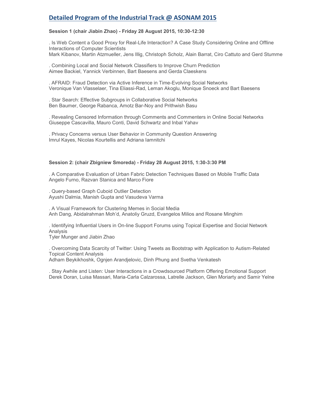# Detailed Program of the Industrial Track @ ASONAM 2015

#### Session 1 (chair Jiabin Zhao) - Friday 28 August 2015, 10:30-12:30

. Is Web Content a Good Proxy for Real-Life Interaction? A Case Study Considering Online and Offline **Interactions of Computer Scientists** Mark Kibanov, Martin Atzmueller, Jens Illig, Christoph Scholz, Alain Barrat, Ciro Cattuto and Gerd Stumme

. Combining Local and Social Network Classifiers to Improve Churn Prediction Aimee Backiel, Yannick Verbinnen, Bart Baesens and Gerda Claeskens

. AFRAID: Fraud Detection via Active Inference in Time-Evolving Social Networks Veronique Van Vlasselaer, Tina Eliassi-Rad, Leman Akoglu, Monique Snoeck and Bart Baesens

. Star Search: Effective Subgroups in Collaborative Social Networks Ben Baumer, George Rabanca, Amotz Bar-Noy and Prithwish Basu

. Revealing Censored Information through Comments and Commenters in Online Social Networks Giuseppe Cascavilla, Mauro Conti, David Schwartz and Inbal Yahav

. Privacy Concerns versus User Behavior in Community Question Answering Imrul Kayes, Nicolas Kourtellis and Adriana lamnitchi

#### Session 2: (chair Zbigniew Smoreda) - Friday 28 August 2015, 1:30-3:30 PM

. A Comparative Evaluation of Urban Fabric Detection Techniques Based on Mobile Traffic Data Angelo Furno, Razvan Stanica and Marco Fiore

. Query-based Graph Cuboid Outlier Detection Ayushi Dalmia, Manish Gupta and Vasudeva Varma

. A Visual Framework for Clustering Memes in Social Media Anh Dang, Abidalrahman Moh'd, Anatoliy Gruzd, Evangelos Milios and Rosane Minghim

. Identifying Influential Users in On-line Support Forums using Topical Expertise and Social Network Analysis

Tyler Munger and Jiabin Zhao

. Overcoming Data Scarcity of Twitter: Using Tweets as Bootstrap with Application to Autism-Related **Topical Content Analysis** 

Adham Beykikhoshk, Ognjen Arandjelovic, Dinh Phung and Svetha Venkatesh

. Stay Awhile and Listen: User Interactions in a Crowdsourced Platform Offering Emotional Support Derek Doran, Luisa Massari, Maria-Carla Calzarossa, Latrelle Jackson, Glen Moriarty and Samir Yelne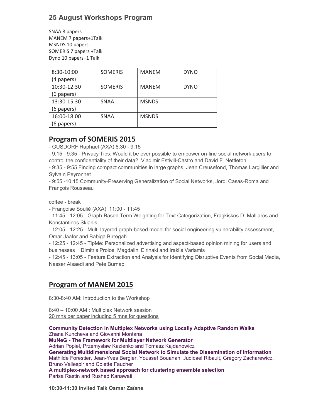# **25 August Workshops Program**

SNAA 8 papers MANEM 7 papers+1Talk MSNDS 10 papers SOMERIS 7 papers +Talk Dyno 10 papers+1 Talk

| 8:30-10:00  | <b>SOMERIS</b> | <b>MANEM</b> | <b>DYNO</b> |
|-------------|----------------|--------------|-------------|
| (4 papers)  |                |              |             |
| 10:30-12:30 | <b>SOMERIS</b> | <b>MANEM</b> | <b>DYNO</b> |
| (6 papers)  |                |              |             |
| 13:30-15:30 | <b>SNAA</b>    | <b>MSNDS</b> |             |
| (6 papers)  |                |              |             |
| 16:00-18:00 | <b>SNAA</b>    | <b>MSNDS</b> |             |
| (6 papers)  |                |              |             |

# **Program of SOMERIS 2015**

- GUSDORF Raphael (AXA) 8:30 - 9:15

- 9:15 - 9:35 - Privacy Tips: Would it be ever possible to empower on-line social network users to control the confidentiality of their data?, Vladimir Estivill-Castro and David F. Nettleton

- 9:35 - 9:55 Finding compact communities in large graphs, Jean Creusefond, Thomas Largillier and Sylvain Peyronnet

- 9:55 -10:15 Community-Preserving Generalization of Social Networks, Jordi Casas-Roma and François Rousseau

coffee - break

- Francoise Soulié (AXA) 11:00 - 11:45

- 11:45 - 12:05 - Graph-Based Term Weighting for Text Categorization, Fragkiskos D. Malliaros and Konstantinos Skianis

- 12:05 - 12:25 - Multi-layered graph-based model for social engineering vulnerability assessment, Omar Jaafor and Babiga Birregah

- 12:25 - 12:45 - TipMe: Personalized advertising and aspect-based opinion mining for users and businesses Dimitris Proios, Magdalini Eirinaki and Iraklis Varlamis

- 12:45 - 13:05 - Feature Extraction and Analysis for Identifying Disruptive Events from Social Media, Nasser Alsaedi and Pete Burnap

# **Program of MANEM 2015**

8:30-8:40 AM: Introduction to the Workshop

8:40 - 10:00 AM : Multiplex Network session 20 mns per paper including 5 mns for questions

**Community Detection in Multiplex Networks using Locally Adaptive Random Walks** Zhana Kuncheva and Giovanni Montana

**MuNeG - The Framework for Multilayer Network Generator** 

Adrian Popiel, Przemysław Kazienko and Tomasz Kajdanowicz

**Generating Multidimensional Social Network to Simulate the Dissemination of Information** Mathilde Forestier, Jean-Yves Bergier, Youssef Bouanan, Judicael Ribault, Gregory Zacharewicz, Bruno Vallespir and Colette Faucher

A multiplex-network based approach for clustering ensemble selection Parisa Rastin and Rushed Kanawati

10:30-11:30 Invited Talk Osmar Zaïane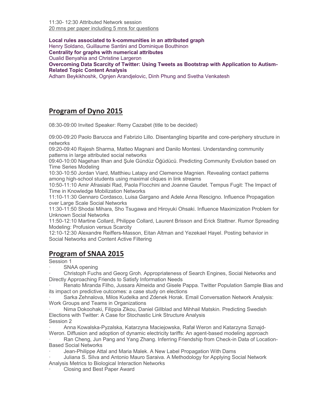Local rules associated to k-communities in an attributed graph Henry Soldano, Guillaume Santini and Dominique Bouthinon Centrality for graphs with numerical attributes **Oualid Benyahia and Christine Largeron** Overcoming Data Scarcity of Twitter: Using Tweets as Bootstrap with Application to Autism-**Related Topic Content Analysis** Adham Beykikhoshk, Ognien Arandielovic, Dinh Phung and Svetha Venkatesh

# **Program of Dyno 2015**

08:30-09:00 Invited Speaker: Remy Cazabet (title to be decided)

09:00-09:20 Paolo Barucca and Fabrizio Lillo. Disentangling bipartite and core-periphery structure in networks

09:20-09:40 Rajesh Sharma, Matteo Magnani and Danilo Montesi. Understanding community patterns in large attributed social networks

09:40-10:00 Nagehan Ilhan and Şule Gündüz Öğüdücü. Predicting Community Evolution based on **Time Series Modeling** 

10:30-10:50 Jordan Viard, Matthieu Latapy and Clemence Magnien. Revealing contact patterns among high-school students using maximal cliques in link streams

10:50-11:10 Amir Afrasiabi Rad, Paola Flocchini and Joanne Gaudet. Tempus Fugit: The Impact of Time in Knowledge Mobilization Networks

11:10-11:30 Gennaro Cordasco, Luisa Gargano and Adele Anna Rescigno. Influence Propagation over Large Scale Social Networks

11:30-11:50 Shodai Mihara, Sho Tsugawa and Hiroyuki Ohsaki. Influence Maximization Problem for **Unknown Social Networks** 

11:50-12:10 Martine Collard, Philippe Collard, Laurent Brisson and Erick Stattner. Rumor Spreading Modeling: Profusion versus Scarcity

12:10-12:30 Alexandre Reiffers-Masson, Eitan Altman and Yezekael Hayel. Posting behavior in Social Networks and Content Active Filtering

# Program of SNAA 2015

Session 1

SNAA opening

Christoph Fuchs and Georg Groh. Appropriateness of Search Engines, Social Networks and Directly Approaching Friends to Satisfy Information Needs

Renato Miranda Filho, Jussara Almeida and Gisele Pappa. Twitter Population Sample Bias and its impact on predictive outcomes: a case study on elections

Sarka Zehnalova, Milos Kudelka and Zdenek Horak. Email Conversation Network Analysis: Work Groups and Teams in Organizations

Nima Dokoohaki, Filippia Zikou, Daniel Gillblad and Mihhail Matskin. Predicting Swedish Elections with Twitter: A Case for Stochastic Link Structure Analysis Session 2

Anna Kowalska-Pyzalska, Katarzyna Maciejowska, Rafał Weron and Katarzyna Sznajd-Weron. Diffusion and adoption of dynamic electricity tariffs: An agent-based modeling approach

Ran Cheng, Jun Pang and Yang Zhang. Inferring Friendship from Check-in Data of Location-**Based Social Networks** 

Jean-Philippe Attal and Maria Malek. A New Label Propagation With Dams

Juliana S. Silva and Antonio Mauro Saraiva. A Methodology for Applying Social Network Analysis Metrics to Biological Interaction Networks

Closing and Best Paper Award